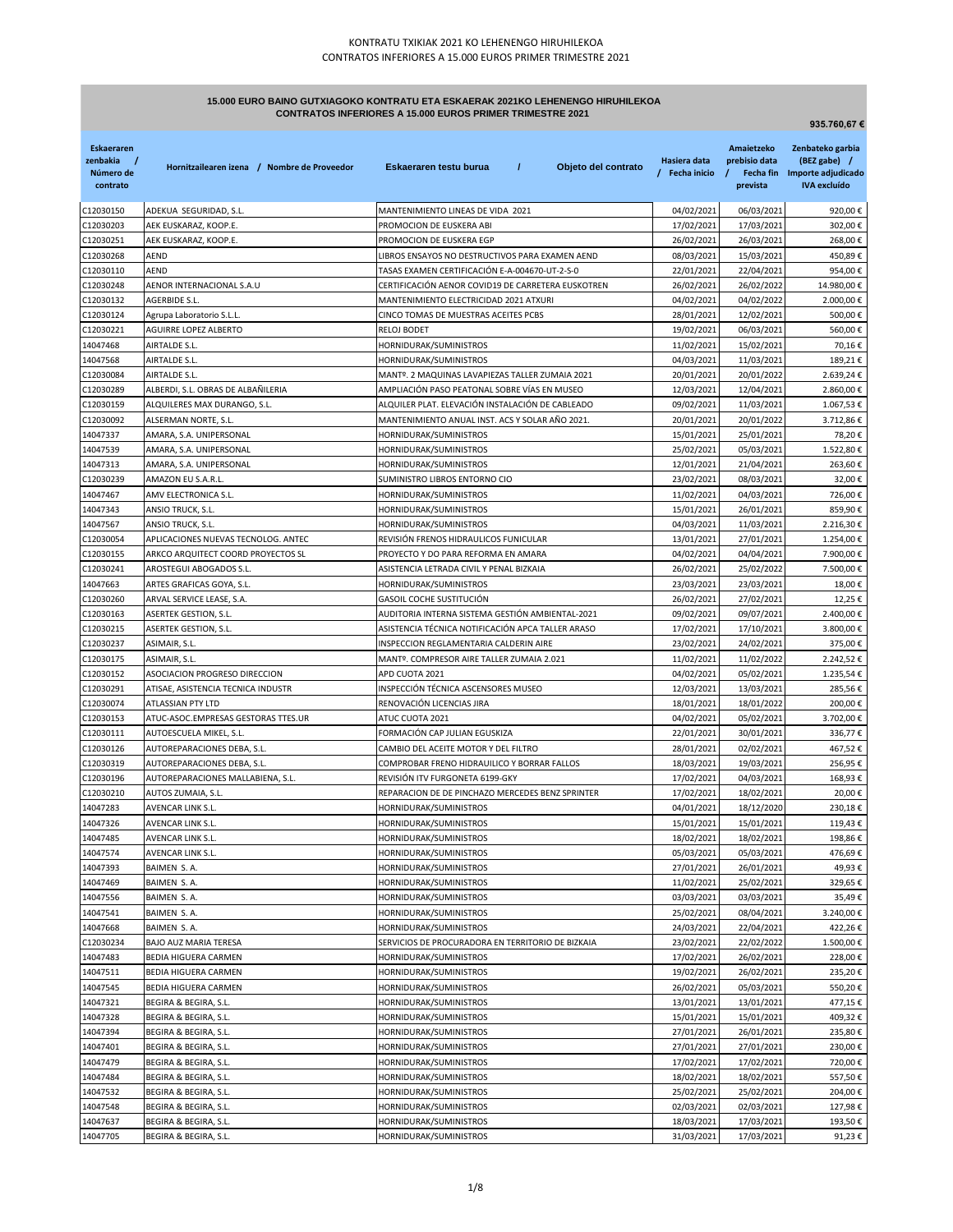# **15.000 EURO BAINO GUTXIAGOKO KONTRATU ETA ESKAERAK 2021KO LEHENENGO HIRUHILEKOA CONTRATOS INFERIORES A 15.000 EUROS PRIMER TRIMESTRE 2021**

|                                                        |                                                               |                                                                                     |                                |                                         | 935.760,67€                                                                             |
|--------------------------------------------------------|---------------------------------------------------------------|-------------------------------------------------------------------------------------|--------------------------------|-----------------------------------------|-----------------------------------------------------------------------------------------|
| <b>Eskaeraren</b><br>zenbakia<br>Número de<br>contrato | Hornitzailearen izena / Nombre de Proveedor                   | $\prime$<br>Eskaeraren testu burua<br>Objeto del contrato                           | Hasiera data<br>/ Fecha inicio | Amaietzeko<br>prebisio data<br>prevista | Zenbateko garbia<br>(BEZ gabe) /<br>Fecha fin Importe adjudicado<br><b>IVA</b> excluído |
| C12030150                                              | ADEKUA SEGURIDAD, S.L.                                        | MANTENIMIENTO LINEAS DE VIDA 2021                                                   | 04/02/2021                     | 06/03/2021                              | 920,00€                                                                                 |
| C12030203                                              | AEK EUSKARAZ, KOOP.E.                                         | PROMOCION DE EUSKERA ABI                                                            | 17/02/2021                     | 17/03/2021                              | 302,00€                                                                                 |
| C12030251                                              | AEK EUSKARAZ, KOOP.E.                                         | PROMOCION DE EUSKERA EGP                                                            | 26/02/2021                     | 26/03/2021                              | 268,00€                                                                                 |
| C12030268                                              | AEND                                                          | LIBROS ENSAYOS NO DESTRUCTIVOS PARA EXAMEN AEND                                     | 08/03/2021                     | 15/03/2021                              | 450,89€                                                                                 |
| C12030110                                              | <b>AEND</b>                                                   | TASAS EXAMEN CERTIFICACIÓN E-A-004670-UT-2-S-0                                      | 22/01/2021                     | 22/04/2021                              | 954,00€                                                                                 |
| C12030248                                              | AENOR INTERNACIONAL S.A.U                                     | CERTIFICACIÓN AENOR COVID19 DE CARRETERA EUSKOTREN                                  | 26/02/2021                     | 26/02/2022                              | 14.980,00€                                                                              |
| C12030132                                              | AGERBIDE S.L.                                                 | MANTENIMIENTO ELECTRICIDAD 2021 ATXURI                                              | 04/02/2021                     | 04/02/2022                              | 2.000,00€                                                                               |
| C12030124                                              | Agrupa Laboratorio S.L.L.                                     | CINCO TOMAS DE MUESTRAS ACEITES PCBS                                                | 28/01/2021                     | 12/02/2021                              | 500,00€                                                                                 |
| C12030221<br>14047468                                  | AGUIRRE LOPEZ ALBERTO<br>AIRTALDE S.L.                        | RELOJ BODET<br>HORNIDURAK/SUMINISTROS                                               | 19/02/2021<br>11/02/2021       | 06/03/2021<br>15/02/2021                | 560,00€<br>70,16€                                                                       |
| 14047568                                               | AIRTALDE S.L.                                                 | HORNIDURAK/SUMINISTROS                                                              | 04/03/2021                     | 11/03/2021                              | 189,21€                                                                                 |
| C12030084                                              | AIRTALDE S.L.                                                 | MANTº. 2 MAQUINAS LAVAPIEZAS TALLER ZUMAIA 2021                                     | 20/01/2021                     | 20/01/2022                              | 2.639,24€                                                                               |
| C12030289                                              | ALBERDI, S.L. OBRAS DE ALBAÑILERIA                            | AMPLIACIÓN PASO PEATONAL SOBRE VÍAS EN MUSEO                                        | 12/03/2021                     | 12/04/2021                              | 2.860,00€                                                                               |
| C12030159                                              | ALQUILERES MAX DURANGO, S.L.                                  | ALQUILER PLAT. ELEVACIÓN INSTALACIÓN DE CABLEADO                                    | 09/02/2021                     | 11/03/2021                              | 1.067,53€                                                                               |
| C12030092                                              | ALSERMAN NORTE, S.L.                                          | MANTENIMIENTO ANUAL INST. ACS Y SOLAR AÑO 2021.                                     | 20/01/2021                     | 20/01/2022                              | 3.712,86€                                                                               |
| 14047337                                               | AMARA, S.A. UNIPERSONAL                                       | HORNIDURAK/SUMINISTROS                                                              | 15/01/2021                     | 25/01/2021                              | 78,20€                                                                                  |
| 14047539                                               | AMARA, S.A. UNIPERSONAL                                       | HORNIDURAK/SUMINISTROS                                                              | 25/02/2021                     | 05/03/2021                              | 1.522,80€                                                                               |
| 14047313                                               | AMARA, S.A. UNIPERSONAL                                       | HORNIDURAK/SUMINISTROS                                                              | 12/01/2021                     | 21/04/2021                              | 263,60€                                                                                 |
| C12030239                                              | AMAZON EU S.A.R.L.                                            | SUMINISTRO LIBROS ENTORNO CIO                                                       | 23/02/2021                     | 08/03/2021                              | 32,00€                                                                                  |
| 14047467                                               | AMV ELECTRONICA S.L.                                          | HORNIDURAK/SUMINISTROS                                                              | 11/02/2021                     | 04/03/2021                              | 726,00€                                                                                 |
| 14047343                                               | ANSIO TRUCK, S.L.                                             | HORNIDURAK/SUMINISTROS                                                              | 15/01/2021                     | 26/01/2021                              | 859,90€                                                                                 |
| 14047567                                               | ANSIO TRUCK, S.L.                                             | HORNIDURAK/SUMINISTROS                                                              | 04/03/2021                     | 11/03/2021                              | 2.216,30€                                                                               |
| C12030054                                              | APLICACIONES NUEVAS TECNOLOG. ANTEC                           | REVISIÓN FRENOS HIDRAULICOS FUNICULAR                                               | 13/01/2021                     | 27/01/2021                              | 1.254,00€                                                                               |
| C12030155<br>C12030241                                 | ARKCO ARQUITECT COORD PROYECTOS SL<br>AROSTEGUI ABOGADOS S.L. | PROYECTO Y DO PARA REFORMA EN AMARA<br>ASISTENCIA LETRADA CIVIL Y PENAL BIZKAIA     | 04/02/2021<br>26/02/2021       | 04/04/2021<br>25/02/2022                | 7.900,00€<br>7.500,00€                                                                  |
| 14047663                                               | ARTES GRAFICAS GOYA, S.L.                                     | HORNIDURAK/SUMINISTROS                                                              | 23/03/2021                     | 23/03/2021                              | 18,00€                                                                                  |
| C12030260                                              | ARVAL SERVICE LEASE, S.A.                                     | GASOIL COCHE SUSTITUCIÓN                                                            | 26/02/2021                     | 27/02/2021                              | 12,25€                                                                                  |
| C12030163                                              | ASERTEK GESTION, S.L.                                         | AUDITORIA INTERNA SISTEMA GESTIÓN AMBIENTAL-2021                                    | 09/02/2021                     | 09/07/2021                              | 2.400,00€                                                                               |
| C12030215                                              | ASERTEK GESTION, S.L.                                         | ASISTENCIA TÉCNICA NOTIFICACIÓN APCA TALLER ARASO                                   | 17/02/2021                     | 17/10/2021                              | 3.800,00€                                                                               |
| C12030237                                              | ASIMAIR, S.L.                                                 | INSPECCION REGLAMENTARIA CALDERIN AIRE                                              | 23/02/2021                     | 24/02/2021                              | 375,00€                                                                                 |
| C12030175                                              | ASIMAIR, S.L.                                                 | MANTº. COMPRESOR AIRE TALLER ZUMAIA 2.021                                           | 11/02/2021                     | 11/02/2022                              | 2.242,52€                                                                               |
| C12030152                                              | ASOCIACION PROGRESO DIRECCION                                 | APD CUOTA 2021                                                                      | 04/02/2021                     | 05/02/2021                              | 1.235,54€                                                                               |
| C12030291                                              | ATISAE, ASISTENCIA TECNICA INDUSTR                            | INSPECCIÓN TÉCNICA ASCENSORES MUSEO                                                 | 12/03/2021                     | 13/03/2021                              | 285,56€                                                                                 |
| C12030074                                              | ATLASSIAN PTY LTD                                             | RENOVACIÓN LICENCIAS JIRA                                                           | 18/01/2021                     | 18/01/2022                              | 200,00€                                                                                 |
| C12030153                                              | ATUC-ASOC.EMPRESAS GESTORAS TTES.UR                           | ATUC CUOTA 2021                                                                     | 04/02/2021                     | 05/02/2021                              | 3.702,00€                                                                               |
| C12030111                                              | AUTOESCUELA MIKEL, S.L.                                       | FORMACIÓN CAP JULIAN EGUSKIZA                                                       | 22/01/2021                     | 30/01/2021                              | 336,77€                                                                                 |
| C12030126<br>C12030319                                 | AUTOREPARACIONES DEBA, S.L.<br>AUTOREPARACIONES DEBA, S.L.    | CAMBIO DEL ACEITE MOTOR Y DEL FILTRO<br>COMPROBAR FRENO HIDRAUILICO Y BORRAR FALLOS | 28/01/2021<br>18/03/2021       | 02/02/2021<br>19/03/2021                | 467,52€<br>256,95€                                                                      |
| C12030196                                              | AUTOREPARACIONES MALLABIENA, S.L.                             | REVISION ITV FURGONETA 6199-GKY                                                     | 17/02/2021                     | 04/03/2021                              | 168,93€                                                                                 |
| C12030210                                              | AUTOS ZUMAIA, S.L.                                            | REPARACION DE DE PINCHAZO MERCEDES BENZ SPRINTER                                    | 17/02/2021                     | 18/02/2021                              | 20,00€                                                                                  |
| 14047283                                               | AVENCAR LINK S.L.                                             | HORNIDURAK/SUMINISTROS                                                              | 04/01/2021                     | 18/12/2020                              | 230,18€                                                                                 |
| 14047326                                               | AVENCAR LINK S.L.                                             | HORNIDURAK/SUMINISTROS                                                              | 15/01/2021                     | 15/01/2021                              | 119,43€                                                                                 |
| 14047485                                               | AVENCAR LINK S.L.                                             | HORNIDURAK/SUMINISTROS                                                              | 18/02/2021                     | 18/02/2021                              | 198,86€                                                                                 |
| 14047574                                               | AVENCAR LINK S.L.                                             | HORNIDURAK/SUMINISTROS                                                              | 05/03/2021                     | 05/03/2021                              | 476,69€                                                                                 |
| 14047393                                               | BAIMEN S.A.                                                   | HORNIDURAK/SUMINISTROS                                                              | 27/01/2021                     | 26/01/2021                              | 49,93€                                                                                  |
| 14047469                                               | BAIMEN S.A.                                                   | HORNIDURAK/SUMINISTROS                                                              | 11/02/2021                     | 25/02/2021                              | 329,65€                                                                                 |
| 14047556                                               | BAIMEN S.A.                                                   | HORNIDURAK/SUMINISTROS                                                              | 03/03/2021                     | 03/03/2021                              | 35,49€                                                                                  |
| 14047541                                               | BAIMEN S.A.                                                   | HORNIDURAK/SUMINISTROS                                                              | 25/02/2021                     | 08/04/2021                              | 3.240,00€                                                                               |
| 14047668                                               | BAIMEN S.A.                                                   | HORNIDURAK/SUMINISTROS                                                              | 24/03/2021                     | 22/04/2021                              | 422,26€                                                                                 |
| C12030234                                              | BAJO AUZ MARIA TERESA<br>BEDIA HIGUERA CARMEN                 | SERVICIOS DE PROCURADORA EN TERRITORIO DE BIZKAIA                                   | 23/02/2021                     | 22/02/2022<br>26/02/2021                | 1.500,00€                                                                               |
| 14047483<br>14047511                                   | BEDIA HIGUERA CARMEN                                          | HORNIDURAK/SUMINISTROS<br>HORNIDURAK/SUMINISTROS                                    | 17/02/2021<br>19/02/2021       | 26/02/2021                              | 228,00€<br>235,20€                                                                      |
| 14047545                                               | BEDIA HIGUERA CARMEN                                          | HORNIDURAK/SUMINISTROS                                                              | 26/02/2021                     | 05/03/2021                              | 550,20€                                                                                 |
| 14047321                                               | BEGIRA & BEGIRA, S.L.                                         | HORNIDURAK/SUMINISTROS                                                              | 13/01/2021                     | 13/01/2021                              | 477,15€                                                                                 |
| 14047328                                               | BEGIRA & BEGIRA, S.L.                                         | HORNIDURAK/SUMINISTROS                                                              | 15/01/2021                     | 15/01/2021                              | 409,32€                                                                                 |
| 14047394                                               | BEGIRA & BEGIRA, S.L.                                         | HORNIDURAK/SUMINISTROS                                                              | 27/01/2021                     | 26/01/2021                              | 235,80€                                                                                 |
| 14047401                                               | BEGIRA & BEGIRA, S.L.                                         | HORNIDURAK/SUMINISTROS                                                              | 27/01/2021                     | 27/01/2021                              | 230,00€                                                                                 |
| 14047479                                               | BEGIRA & BEGIRA, S.L.                                         | HORNIDURAK/SUMINISTROS                                                              | 17/02/2021                     | 17/02/2021                              | 720,00€                                                                                 |
| 14047484                                               | BEGIRA & BEGIRA, S.L.                                         | HORNIDURAK/SUMINISTROS                                                              | 18/02/2021                     | 18/02/2021                              | 557,50€                                                                                 |
| 14047532                                               | BEGIRA & BEGIRA, S.L.                                         | HORNIDURAK/SUMINISTROS                                                              | 25/02/2021                     | 25/02/2021                              | 204,00€                                                                                 |
| 14047548                                               | BEGIRA & BEGIRA, S.L.                                         | HORNIDURAK/SUMINISTROS                                                              | 02/03/2021                     | 02/03/2021                              | 127,98€                                                                                 |
| 14047637                                               | BEGIRA & BEGIRA, S.L.                                         | HORNIDURAK/SUMINISTROS                                                              | 18/03/2021                     | 17/03/2021                              | 193,50€                                                                                 |
| 14047705                                               | BEGIRA & BEGIRA, S.L.                                         | HORNIDURAK/SUMINISTROS                                                              | 31/03/2021                     | 17/03/2021                              | 91,23€                                                                                  |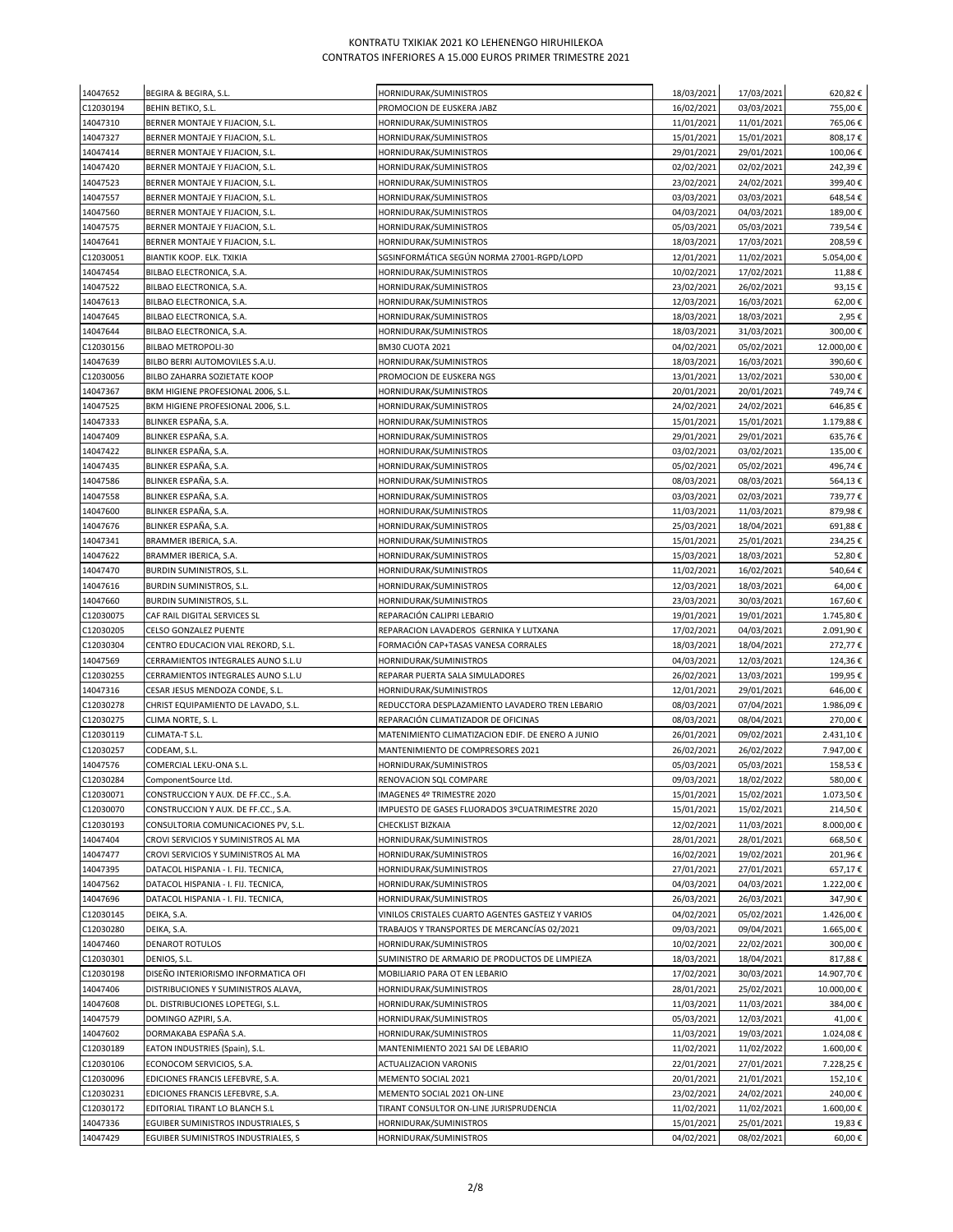| 14047652              | BEGIRA & BEGIRA, S.L.                                                 | HORNIDURAK/SUMINISTROS                                            | 18/03/2021               | 17/03/2021               | 620,82€             |
|-----------------------|-----------------------------------------------------------------------|-------------------------------------------------------------------|--------------------------|--------------------------|---------------------|
| C12030194             | BEHIN BETIKO, S.L.                                                    | PROMOCION DE EUSKERA JABZ                                         | 16/02/2021               | 03/03/2021               | 755,00€             |
| 14047310              | BERNER MONTAJE Y FIJACION, S.L.                                       | HORNIDURAK/SUMINISTROS                                            | 11/01/2021               | 11/01/2021               | 765,06€             |
| 14047327              | BERNER MONTAJE Y FIJACION, S.L.                                       | HORNIDURAK/SUMINISTROS                                            | 15/01/2021               | 15/01/2021               | 808,17€             |
| 14047414              | BERNER MONTAJE Y FIJACION, S.L.                                       | HORNIDURAK/SUMINISTROS                                            | 29/01/2021               | 29/01/2021               | 100,06€             |
| 14047420              | BERNER MONTAJE Y FIJACION, S.L.                                       | HORNIDURAK/SUMINISTROS                                            | 02/02/2021               | 02/02/2021               | 242,39€             |
| 14047523              | BERNER MONTAJE Y FIJACION, S.L.                                       | HORNIDURAK/SUMINISTROS                                            | 23/02/2021               | 24/02/2021               | 399,40€             |
| 14047557              | BERNER MONTAJE Y FIJACION, S.L.                                       | HORNIDURAK/SUMINISTROS                                            | 03/03/2021               | 03/03/2021               | 648,54€             |
| 14047560              | BERNER MONTAJE Y FIJACION, S.L.                                       | HORNIDURAK/SUMINISTROS                                            | 04/03/2021               | 04/03/2021               | 189,00€             |
| 14047575              | BERNER MONTAJE Y FIJACION, S.L.                                       | HORNIDURAK/SUMINISTROS                                            | 05/03/2021               | 05/03/2021               | 739,54€             |
| 14047641              | BERNER MONTAJE Y FIJACION, S.L.                                       | HORNIDURAK/SUMINISTROS                                            | 18/03/2021               | 17/03/2021               | 208,59€             |
| C12030051             | BIANTIK KOOP. ELK. TXIKIA                                             | SGSINFORMÁTICA SEGÚN NORMA 27001-RGPD/LOPD                        | 12/01/2021               | 11/02/2021               | 5.054,00€           |
| 14047454              | BILBAO ELECTRONICA, S.A.                                              | HORNIDURAK/SUMINISTROS                                            | 10/02/2021               | 17/02/2021               | 11,88€              |
| 14047522              | BILBAO ELECTRONICA, S.A.                                              | HORNIDURAK/SUMINISTROS                                            | 23/02/2021               | 26/02/2021               | 93,15€              |
| 14047613              | BILBAO ELECTRONICA, S.A.                                              | HORNIDURAK/SUMINISTROS                                            | 12/03/2021               | 16/03/2021               | 62,00€              |
| 14047645              | BILBAO ELECTRONICA, S.A.                                              | HORNIDURAK/SUMINISTROS                                            | 18/03/2021               | 18/03/2021               | 2,95€               |
| 14047644              | BILBAO ELECTRONICA, S.A.                                              | HORNIDURAK/SUMINISTROS                                            | 18/03/2021               | 31/03/2021               | 300,00€             |
| C12030156             | BILBAO METROPOLI-30                                                   | <b>BM30 CUOTA 2021</b>                                            | 04/02/2021               | 05/02/2021               | 12.000,00€          |
| 14047639              | BILBO BERRI AUTOMOVILES S.A.U.                                        | HORNIDURAK/SUMINISTROS                                            | 18/03/2021               | 16/03/2021               | 390,60€             |
| C12030056             | BILBO ZAHARRA SOZIETATE KOOP                                          | PROMOCION DE EUSKERA NGS                                          | 13/01/2021               | 13/02/2021               | 530,00€             |
| 14047367              | BKM HIGIENE PROFESIONAL 2006, S.L.                                    | HORNIDURAK/SUMINISTROS                                            | 20/01/2021               | 20/01/2021               | 749,74€             |
| 14047525              | BKM HIGIENE PROFESIONAL 2006, S.L.                                    | HORNIDURAK/SUMINISTROS                                            | 24/02/2021               | 24/02/2021               | 646,85€             |
| 14047333              | BLINKER ESPAÑA, S.A.                                                  | HORNIDURAK/SUMINISTROS                                            | 15/01/2021               | 15/01/2021               | 1.179,88€           |
| 14047409              | BLINKER ESPAÑA, S.A.                                                  | HORNIDURAK/SUMINISTROS                                            | 29/01/2021               | 29/01/2021               | 635,76€             |
| 14047422              | BLINKER ESPAÑA, S.A.                                                  | HORNIDURAK/SUMINISTROS                                            | 03/02/2021               | 03/02/2021               | 135,00€             |
| 14047435              | BLINKER ESPAÑA, S.A.                                                  | HORNIDURAK/SUMINISTROS                                            | 05/02/2021               | 05/02/2021               | 496,74€             |
| 14047586              | BLINKER ESPAÑA, S.A.                                                  | HORNIDURAK/SUMINISTROS                                            | 08/03/2021               | 08/03/2021               | 564,13€             |
| 14047558              | BLINKER ESPAÑA, S.A.                                                  | HORNIDURAK/SUMINISTROS                                            | 03/03/2021               | 02/03/2021               | 739,77€             |
| 14047600              | BLINKER ESPAÑA, S.A.                                                  | HORNIDURAK/SUMINISTROS                                            | 11/03/2021               | 11/03/2021               | 879,98€             |
| 14047676              | BLINKER ESPAÑA, S.A.                                                  | HORNIDURAK/SUMINISTROS                                            | 25/03/2021               | 18/04/2021               | 691,88€             |
| 14047341              | BRAMMER IBERICA, S.A.                                                 | HORNIDURAK/SUMINISTROS                                            | 15/01/2021               | 25/01/2021               | 234,25€             |
| 14047622              | BRAMMER IBERICA, S.A.                                                 | HORNIDURAK/SUMINISTROS                                            | 15/03/2021               | 18/03/2021               | 52,80€              |
| 14047470<br>14047616  | BURDIN SUMINISTROS, S.L.                                              | HORNIDURAK/SUMINISTROS                                            | 11/02/2021<br>12/03/2021 | 16/02/2021<br>18/03/2021 | 540,64€<br>64,00€   |
| 14047660              | BURDIN SUMINISTROS, S.L.<br>BURDIN SUMINISTROS, S.L.                  | HORNIDURAK/SUMINISTROS<br>HORNIDURAK/SUMINISTROS                  | 23/03/2021               | 30/03/2021               | 167,60€             |
| C12030075             | CAF RAIL DIGITAL SERVICES SL                                          | REPARACIÓN CALIPRI LEBARIO                                        | 19/01/2021               | 19/01/2021               | 1.745,80€           |
| C12030205             | CELSO GONZALEZ PUENTE                                                 | REPARACION LAVADEROS GERNIKA Y LUTXANA                            | 17/02/2021               | 04/03/2021               | 2.091,90€           |
| C12030304             | CENTRO EDUCACION VIAL REKORD, S.L.                                    | FORMACIÓN CAP+TASAS VANESA CORRALES                               | 18/03/2021               | 18/04/2021               | 272,77€             |
| 14047569              | CERRAMIENTOS INTEGRALES AUNO S.L.U                                    | HORNIDURAK/SUMINISTROS                                            | 04/03/2021               | 12/03/2021               | 124,36€             |
| C12030255             | CERRAMIENTOS INTEGRALES AUNO S.L.U                                    | REPARAR PUERTA SALA SIMULADORES                                   | 26/02/2021               | 13/03/2021               | 199,95€             |
| 14047316              | CESAR JESUS MENDOZA CONDE, S.L.                                       | HORNIDURAK/SUMINISTROS                                            | 12/01/2021               | 29/01/2021               | 646,00€             |
| C12030278             | CHRIST EQUIPAMIENTO DE LAVADO, S.L.                                   | REDUCCTORA DESPLAZAMIENTO LAVADERO TREN LEBARIO                   | 08/03/2021               | 07/04/2021               | 1.986,09€           |
| C12030275             | CLIMA NORTE, S. L.                                                    | REPARACIÓN CLIMATIZADOR DE OFICINAS                               | 08/03/2021               | 08/04/2021               | 270,00€             |
| C12030119             | CLIMATA-T S.L.                                                        | MATENIMIENTO CLIMATIZACION EDIF. DE ENERO A JUNIO                 | 26/01/2021               | 09/02/2021               | 2.431,10€           |
| C12030257             | CODEAM, S.L.                                                          | MANTENIMIENTO DE COMPRESORES 2021                                 | 26/02/2021               | 26/02/2022               | 7.947,00€           |
| 14047576              | COMERCIAL LEKU-ONA S.L.                                               | HORNIDURAK/SUMINISTROS                                            | 05/03/2021               | 05/03/2021               | 158,53€             |
| C12030284             | ComponentSource Ltd                                                   | RENOVACION SQL COMPARE                                            | 09/03/2021               | 18/02/2022               | 580,00€             |
| C12030071             | CONSTRUCCION Y AUX. DE FF.CC., S.A.                                   | IMAGENES 4º TRIMESTRE 2020                                        | 15/01/2021               | 15/02/2021               | 1.073,50€           |
| C12030070             | CONSTRUCCION Y AUX. DE FF.CC., S.A.                                   | IMPUESTO DE GASES FLUORADOS 3ºCUATRIMESTRE 2020                   | 15/01/2021               | 15/02/2021               | 214,50€             |
| C12030193             | CONSULTORIA COMUNICACIONES PV, S.L.                                   | CHECKLIST BIZKAIA                                                 | 12/02/2021               | 11/03/2021               | 8.000,00€           |
| 14047404              | CROVI SERVICIOS Y SUMINISTROS AL MA                                   | HORNIDURAK/SUMINISTROS                                            | 28/01/2021               | 28/01/2021               | 668,50€             |
| 14047477              | CROVI SERVICIOS Y SUMINISTROS AL MA                                   | HORNIDURAK/SUMINISTROS                                            | 16/02/2021               | 19/02/2021               | 201,96€             |
| 14047395              | DATACOL HISPANIA - I. FIJ. TECNICA,                                   | HORNIDURAK/SUMINISTROS                                            | 27/01/2021               | 27/01/2021               | 657,17€             |
| 14047562              | DATACOL HISPANIA - I. FIJ. TECNICA,                                   | HORNIDURAK/SUMINISTROS                                            | 04/03/2021               | 04/03/2021               | 1.222,00€           |
| 14047696              | DATACOL HISPANIA - I. FIJ. TECNICA,                                   | HORNIDURAK/SUMINISTROS                                            | 26/03/2021               | 26/03/2021               | 347,90€             |
| C12030145             | DEIKA, S.A.                                                           | VINILOS CRISTALES CUARTO AGENTES GASTEIZ Y VARIOS                 | 04/02/2021               | 05/02/2021               | 1.426,00€           |
| C12030280             | DEIKA, S.A.                                                           | TRABAJOS Y TRANSPORTES DE MERCANCÍAS 02/2021                      | 09/03/2021               | 09/04/2021               | 1.665,00€           |
| 14047460              | DENAROT ROTULOS                                                       | HORNIDURAK/SUMINISTROS                                            | 10/02/2021               | 22/02/2021               | 300,00€             |
| C12030301             | DENIOS, S.L.                                                          | SUMINISTRO DE ARMARIO DE PRODUCTOS DE LIMPIEZA                    | 18/03/2021               | 18/04/2021               | 817,88€             |
| C12030198             | DISEÑO INTERIORISMO INFORMATICA OFI                                   | MOBILIARIO PARA OT EN LEBARIO                                     | 17/02/2021               | 30/03/2021               | 14.907,70€          |
| 14047406              | DISTRIBUCIONES Y SUMINISTROS ALAVA,                                   | HORNIDURAK/SUMINISTROS                                            | 28/01/2021               | 25/02/2021               | 10.000,00€          |
| 14047608              | DL. DISTRIBUCIONES LOPETEGI, S.L.                                     | HORNIDURAK/SUMINISTROS                                            | 11/03/2021               | 11/03/2021               | 384,00€             |
| 14047579              | DOMINGO AZPIRI, S.A.                                                  | HORNIDURAK/SUMINISTROS                                            | 05/03/2021               | 12/03/2021               | 41,00€              |
| 14047602              | DORMAKABA ESPAÑA S.A.                                                 | HORNIDURAK/SUMINISTROS                                            | 11/03/2021               | 19/03/2021               | 1.024,08€           |
| C12030189             | EATON INDUSTRIES (Spain), S.L.                                        | MANTENIMIENTO 2021 SAI DE LEBARIO                                 | 11/02/2021               | 11/02/2022               | 1.600,00€           |
| C12030106             | ECONOCOM SERVICIOS, S.A.                                              | ACTUALIZACION VARONIS                                             | 22/01/2021               | 27/01/2021               | 7.228,25€           |
| C12030096             | EDICIONES FRANCIS LEFEBVRE, S.A.                                      | MEMENTO SOCIAL 2021                                               | 20/01/2021               | 21/01/2021               | 152,10€             |
| C12030231             | EDICIONES FRANCIS LEFEBVRE, S.A.                                      | MEMENTO SOCIAL 2021 ON-LINE                                       | 23/02/2021               | 24/02/2021               | 240,00€             |
| C12030172<br>14047336 | EDITORIAL TIRANT LO BLANCH S.L<br>EGUIBER SUMINISTROS INDUSTRIALES, S | TIRANT CONSULTOR ON-LINE JURISPRUDENCIA<br>HORNIDURAK/SUMINISTROS | 11/02/2021<br>15/01/2021 | 11/02/2021<br>25/01/2021 | 1.600,00€<br>19,83€ |
| 14047429              | EGUIBER SUMINISTROS INDUSTRIALES, S                                   | HORNIDURAK/SUMINISTROS                                            | 04/02/2021               | 08/02/2021               | 60,00€              |
|                       |                                                                       |                                                                   |                          |                          |                     |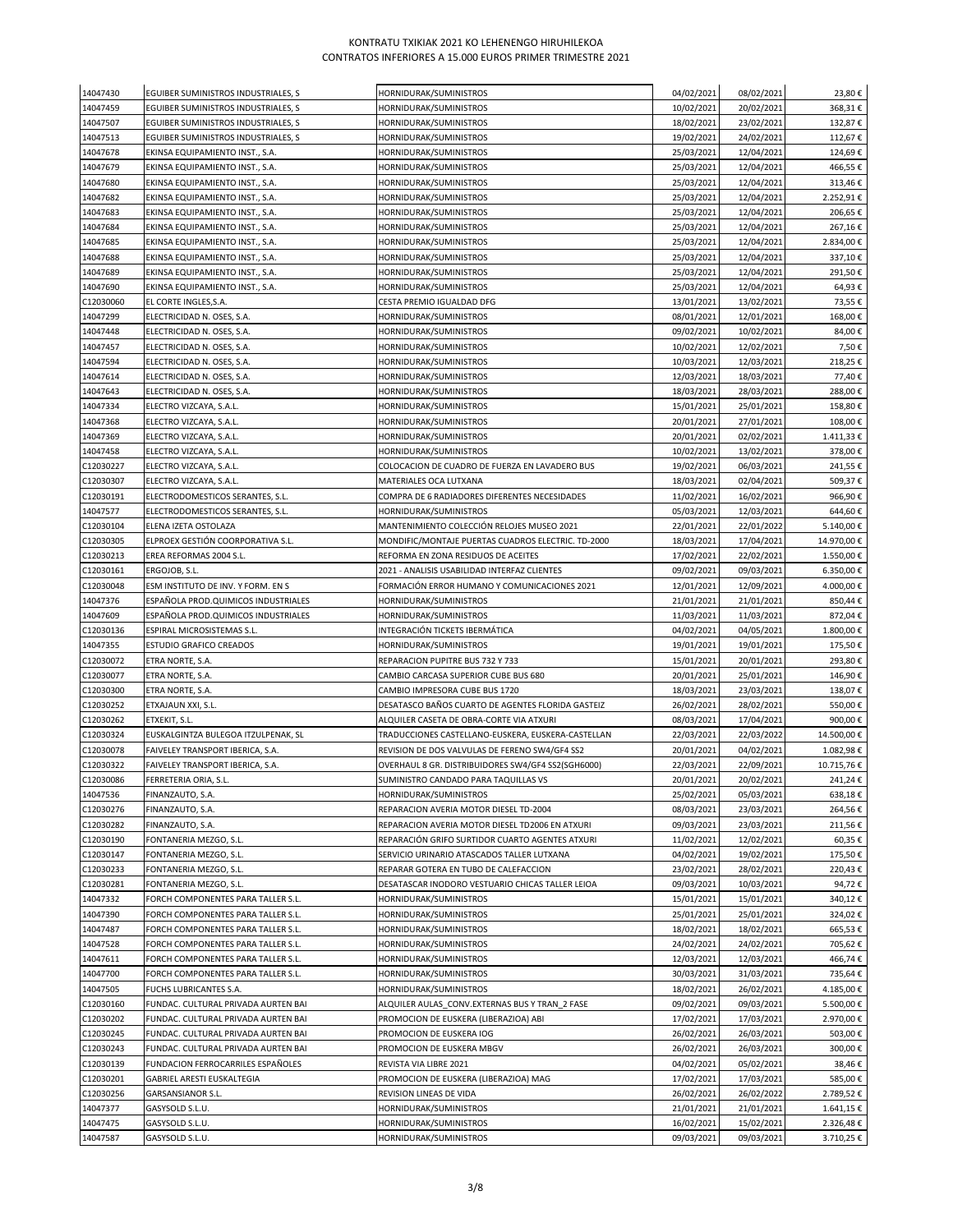| 14047430               | EGUIBER SUMINISTROS INDUSTRIALES, S              | HORNIDURAK/SUMINISTROS                                                                             | 04/02/2021               | 08/02/2021               | 23,80€             |
|------------------------|--------------------------------------------------|----------------------------------------------------------------------------------------------------|--------------------------|--------------------------|--------------------|
| 14047459               | EGUIBER SUMINISTROS INDUSTRIALES, S              | HORNIDURAK/SUMINISTROS                                                                             | 10/02/2021               | 20/02/2021               | 368,31€            |
| 14047507               | EGUIBER SUMINISTROS INDUSTRIALES, S              | HORNIDURAK/SUMINISTROS                                                                             | 18/02/2021               | 23/02/2021               | 132,87€            |
| 14047513               | EGUIBER SUMINISTROS INDUSTRIALES, S              | HORNIDURAK/SUMINISTROS                                                                             | 19/02/2021               | 24/02/2021               | 112,67€            |
| 14047678               | EKINSA EQUIPAMIENTO INST., S.A.                  | HORNIDURAK/SUMINISTROS                                                                             | 25/03/2021               | 12/04/2021               | 124,69€            |
| 14047679               | EKINSA EQUIPAMIENTO INST., S.A.                  | HORNIDURAK/SUMINISTROS                                                                             | 25/03/2021               | 12/04/2021               | 466,55€            |
| 14047680               | EKINSA EQUIPAMIENTO INST., S.A.                  | HORNIDURAK/SUMINISTROS                                                                             | 25/03/2021               | 12/04/2021               | 313,46€            |
| 14047682               | EKINSA EQUIPAMIENTO INST., S.A.                  | HORNIDURAK/SUMINISTROS                                                                             | 25/03/2021               | 12/04/2021               | 2.252,91€          |
| 14047683               | EKINSA EQUIPAMIENTO INST., S.A.                  | HORNIDURAK/SUMINISTROS                                                                             | 25/03/2021               | 12/04/2021               | 206,65€            |
| 14047684               | EKINSA EQUIPAMIENTO INST., S.A.                  | HORNIDURAK/SUMINISTROS                                                                             | 25/03/2021               | 12/04/2021               | 267,16€            |
| 14047685               | EKINSA EQUIPAMIENTO INST., S.A.                  | HORNIDURAK/SUMINISTROS                                                                             | 25/03/2021               | 12/04/2021               | 2.834,00 €         |
| 14047688               | EKINSA EQUIPAMIENTO INST., S.A.                  | HORNIDURAK/SUMINISTROS                                                                             | 25/03/2021               | 12/04/2021               | 337,10€            |
| 14047689               | EKINSA EQUIPAMIENTO INST., S.A.                  | HORNIDURAK/SUMINISTROS                                                                             | 25/03/2021               | 12/04/2021               | 291,50€            |
| 14047690               | EKINSA EQUIPAMIENTO INST., S.A.                  | HORNIDURAK/SUMINISTROS                                                                             | 25/03/2021               | 12/04/2021               | 64,93€             |
| C12030060              | EL CORTE INGLES, S.A.                            | CESTA PREMIO IGUALDAD DFG                                                                          | 13/01/2021               | 13/02/2021               | 73,55€             |
| 14047299               | ELECTRICIDAD N. OSES, S.A.                       | HORNIDURAK/SUMINISTROS                                                                             | 08/01/2021               | 12/01/2021               | 168,00€            |
| 14047448               | ELECTRICIDAD N. OSES, S.A.                       | HORNIDURAK/SUMINISTROS                                                                             | 09/02/2021               | 10/02/2021               | 84,00€             |
| 14047457               | ELECTRICIDAD N. OSES, S.A.                       | HORNIDURAK/SUMINISTROS                                                                             | 10/02/2021               | 12/02/2021               | 7,50€              |
| 14047594               | ELECTRICIDAD N. OSES, S.A.                       | HORNIDURAK/SUMINISTROS                                                                             | 10/03/2021               | 12/03/2021               | 218,25€            |
| 14047614               | ELECTRICIDAD N. OSES, S.A.                       | HORNIDURAK/SUMINISTROS                                                                             | 12/03/2021               | 18/03/2021               | 77,40€             |
| 14047643               | ELECTRICIDAD N. OSES, S.A.                       | HORNIDURAK/SUMINISTROS                                                                             | 18/03/2021               | 28/03/2021               | 288,00€            |
| 14047334               | ELECTRO VIZCAYA, S.A.L.                          | HORNIDURAK/SUMINISTROS                                                                             | 15/01/2021               | 25/01/2021               | 158,80€            |
| 14047368               | ELECTRO VIZCAYA, S.A.L.                          | HORNIDURAK/SUMINISTROS                                                                             | 20/01/2021               | 27/01/2021               | 108,00€            |
| 14047369               | ELECTRO VIZCAYA, S.A.L.                          | HORNIDURAK/SUMINISTROS                                                                             | 20/01/2021               | 02/02/2021               | 1.411,33 €         |
| 14047458               | ELECTRO VIZCAYA, S.A.L.                          | HORNIDURAK/SUMINISTROS                                                                             | 10/02/2021               | 13/02/2021               | 378,00€            |
| C12030227              | ELECTRO VIZCAYA, S.A.L.                          | COLOCACION DE CUADRO DE FUERZA EN LAVADERO BUS                                                     | 19/02/2021               | 06/03/2021               | 241,55€            |
| C12030307              | ELECTRO VIZCAYA, S.A.L.                          | MATERIALES OCA LUTXANA                                                                             | 18/03/2021               | 02/04/2021               | 509,37€            |
| C12030191              | ELECTRODOMESTICOS SERANTES, S.L.                 | COMPRA DE 6 RADIADORES DIFERENTES NECESIDADES                                                      | 11/02/2021               | 16/02/2021               | 966,90€            |
| 14047577               | ELECTRODOMESTICOS SERANTES, S.L.                 | HORNIDURAK/SUMINISTROS                                                                             | 05/03/2021               | 12/03/2021               | 644,60€            |
| C12030104              | ELENA IZETA OSTOLAZA                             | MANTENIMIENTO COLECCIÓN RELOJES MUSEO 2021                                                         | 22/01/2021               | 22/01/2022               | 5.140,00€          |
| C12030305              | ELPROEX GESTIÓN COORPORATIVA S.L.                | MONDIFIC/MONTAJE PUERTAS CUADROS ELECTRIC. TD-2000                                                 | 18/03/2021               | 17/04/2021               | 14.970,00€         |
| C12030213              | EREA REFORMAS 2004 S.L.                          | REFORMA EN ZONA RESIDUOS DE ACEITES                                                                | 17/02/2021               | 22/02/2021               | 1.550,00€          |
| C12030161              | ERGOJOB, S.L.                                    | 2021 - ANALISIS USABILIDAD INTERFAZ CLIENTES                                                       | 09/02/2021               | 09/03/2021               | 6.350,00€          |
| C12030048              | ESM INSTITUTO DE INV. Y FORM. EN S               | FORMACIÓN ERROR HUMANO Y COMUNICACIONES 2021                                                       | 12/01/2021               | 12/09/2021               | 4.000,00€          |
| 14047376               | ESPAÑOLA PROD.QUIMICOS INDUSTRIALES              | HORNIDURAK/SUMINISTROS                                                                             | 21/01/2021               | 21/01/2021               | 850,44€            |
| 14047609               | ESPAÑOLA PROD.QUIMICOS INDUSTRIALES              | HORNIDURAK/SUMINISTROS                                                                             | 11/03/2021               | 11/03/2021               | 872,04€            |
| C12030136              | ESPIRAL MICROSISTEMAS S.L.                       | INTEGRACIÓN TICKETS IBERMÁTICA                                                                     | 04/02/2021               | 04/05/2021               | 1.800,00€          |
| 14047355               | ESTUDIO GRAFICO CREADOS                          | HORNIDURAK/SUMINISTROS                                                                             | 19/01/2021               | 19/01/2021               | 175,50€            |
| C12030072              | ETRA NORTE, S.A.                                 | REPARACION PUPITRE BUS 732 Y 733                                                                   | 15/01/2021               | 20/01/2021               | 293,80€            |
| C12030077              | ETRA NORTE, S.A.                                 | CAMBIO CARCASA SUPERIOR CUBE BUS 680                                                               | 20/01/2021               | 25/01/2021               | 146,90€            |
| C12030300              | ETRA NORTE, S.A.                                 | CAMBIO IMPRESORA CUBE BUS 1720                                                                     | 18/03/2021               | 23/03/2021               | 138,07€            |
| C12030252              | ETXAJAUN XXI, S.L.                               | DESATASCO BAÑOS CUARTO DE AGENTES FLORIDA GASTEIZ                                                  | 26/02/2021               | 28/02/2021               | 550,00€            |
| C12030262              | ETXEKIT, S.L.                                    | ALQUILER CASETA DE OBRA-CORTE VIA ATXURI                                                           | 08/03/2021               | 17/04/2021               | 900,00€            |
| C12030324              | EUSKALGINTZA BULEGOA ITZULPENAK, SL              | TRADUCCIONES CASTELLANO-EUSKERA, EUSKERA-CASTELLAN                                                 | 22/03/2021               | 22/03/2022               | 14.500,00€         |
| C12030078              | FAIVELEY TRANSPORT IBERICA, S.A.                 | REVISION DE DOS VALVULAS DE FERENO SW4/GF4 SS2                                                     | 20/01/2021               | 04/02/2021               | 1.082,98€          |
| C12030322              | FAIVELEY TRANSPORT IBERICA, S.A.                 | OVERHAUL 8 GR. DISTRIBUIDORES SW4/GF4 SS2(SGH6000)                                                 | 22/03/2021               | 22/09/2021               | 10.715,76€         |
| C12030086              | FERRETERIA ORIA, S.L.                            | SUMINISTRO CANDADO PARA TAQUILLAS VS                                                               | 20/01/2021               | 20/02/2021               | 241,24€            |
| 14047536               | FINANZAUTO, S.A.                                 | HORNIDURAK/SUMINISTROS                                                                             | 25/02/2021               | 05/03/2021               | 638,18€            |
| C12030276              | FINANZAUTO, S.A.                                 | REPARACION AVERIA MOTOR DIESEL TD-2004                                                             | 08/03/2021               | 23/03/2021               | 264,56€            |
| C12030282              | FINANZAUTO, S.A.                                 | REPARACION AVERIA MOTOR DIESEL TD2006 EN ATXURI<br>REPARACIÓN GRIFO SURTIDOR CUARTO AGENTES ATXURI | 09/03/2021               | 23/03/2021               | 211,56€            |
| C12030190<br>C12030147 | FONTANERIA MEZGO, S.L.<br>FONTANERIA MEZGO, S.L. | SERVICIO URINARIO ATASCADOS TALLER LUTXANA                                                         | 11/02/2021<br>04/02/2021 | 12/02/2021<br>19/02/2021 | 60,35€             |
| C12030233              | FONTANERIA MEZGO, S.L.                           | REPARAR GOTERA EN TUBO DE CALEFACCION                                                              | 23/02/2021               | 28/02/2021               | 175,50€<br>220,43€ |
| C12030281              | FONTANERIA MEZGO, S.L.                           | DESATASCAR INODORO VESTUARIO CHICAS TALLER LEIOA                                                   | 09/03/2021               | 10/03/2021               | 94,72€             |
| 14047332               | FORCH COMPONENTES PARA TALLER S.L.               | HORNIDURAK/SUMINISTROS                                                                             | 15/01/2021               | 15/01/2021               | 340,12€            |
| 14047390               | FORCH COMPONENTES PARA TALLER S.L.               | HORNIDURAK/SUMINISTROS                                                                             | 25/01/2021               | 25/01/2021               | 324,02€            |
| 14047487               | FORCH COMPONENTES PARA TALLER S.L.               | HORNIDURAK/SUMINISTROS                                                                             | 18/02/2021               | 18/02/2021               | 665,53€            |
| 14047528               | FORCH COMPONENTES PARA TALLER S.L.               | HORNIDURAK/SUMINISTROS                                                                             | 24/02/2021               | 24/02/2021               | 705,62€            |
| 14047611               | FORCH COMPONENTES PARA TALLER S.L.               | HORNIDURAK/SUMINISTROS                                                                             | 12/03/2021               | 12/03/2021               | 466,74€            |
| 14047700               | FORCH COMPONENTES PARA TALLER S.L.               | HORNIDURAK/SUMINISTROS                                                                             | 30/03/2021               | 31/03/2021               | 735,64€            |
| 14047505               | FUCHS LUBRICANTES S.A.                           | HORNIDURAK/SUMINISTROS                                                                             | 18/02/2021               | 26/02/2021               | 4.185,00€          |
| C12030160              | FUNDAC. CULTURAL PRIVADA AURTEN BAI              | ALQUILER AULAS_CONV.EXTERNAS BUS Y TRAN_2 FASE                                                     | 09/02/2021               | 09/03/2021               | 5.500,00€          |
| C12030202              | FUNDAC. CULTURAL PRIVADA AURTEN BAI              | PROMOCION DE EUSKERA (LIBERAZIOA) ABI                                                              | 17/02/2021               | 17/03/2021               | 2.970,00€          |
| C12030245              | FUNDAC. CULTURAL PRIVADA AURTEN BAI              | PROMOCION DE EUSKERA IOG                                                                           | 26/02/2021               | 26/03/2021               | 503,00€            |
| C12030243              | FUNDAC. CULTURAL PRIVADA AURTEN BAI              | PROMOCION DE EUSKERA MBGV                                                                          | 26/02/2021               | 26/03/2021               | 300,00€            |
| C12030139              | FUNDACION FERROCARRILES ESPAÑOLES                | REVISTA VIA LIBRE 2021                                                                             | 04/02/2021               | 05/02/2021               | 38,46€             |
| C12030201              | GABRIEL ARESTI EUSKALTEGIA                       | PROMOCION DE EUSKERA (LIBERAZIOA) MAG                                                              | 17/02/2021               | 17/03/2021               | 585,00€            |
| C12030256              | GARSANSIANOR S.L.                                | REVISION LINEAS DE VIDA                                                                            | 26/02/2021               | 26/02/2022               | 2.789,52€          |
| 14047377               | GASYSOLD S.L.U.                                  | HORNIDURAK/SUMINISTROS                                                                             | 21/01/2021               | 21/01/2021               | 1.641,15€          |
| 14047475               | GASYSOLD S.L.U.                                  | HORNIDURAK/SUMINISTROS                                                                             | 16/02/2021               | 15/02/2021               | 2.326,48€          |
| 14047587               | GASYSOLD S.L.U.                                  | HORNIDURAK/SUMINISTROS                                                                             | 09/03/2021               | 09/03/2021               | 3.710,25€          |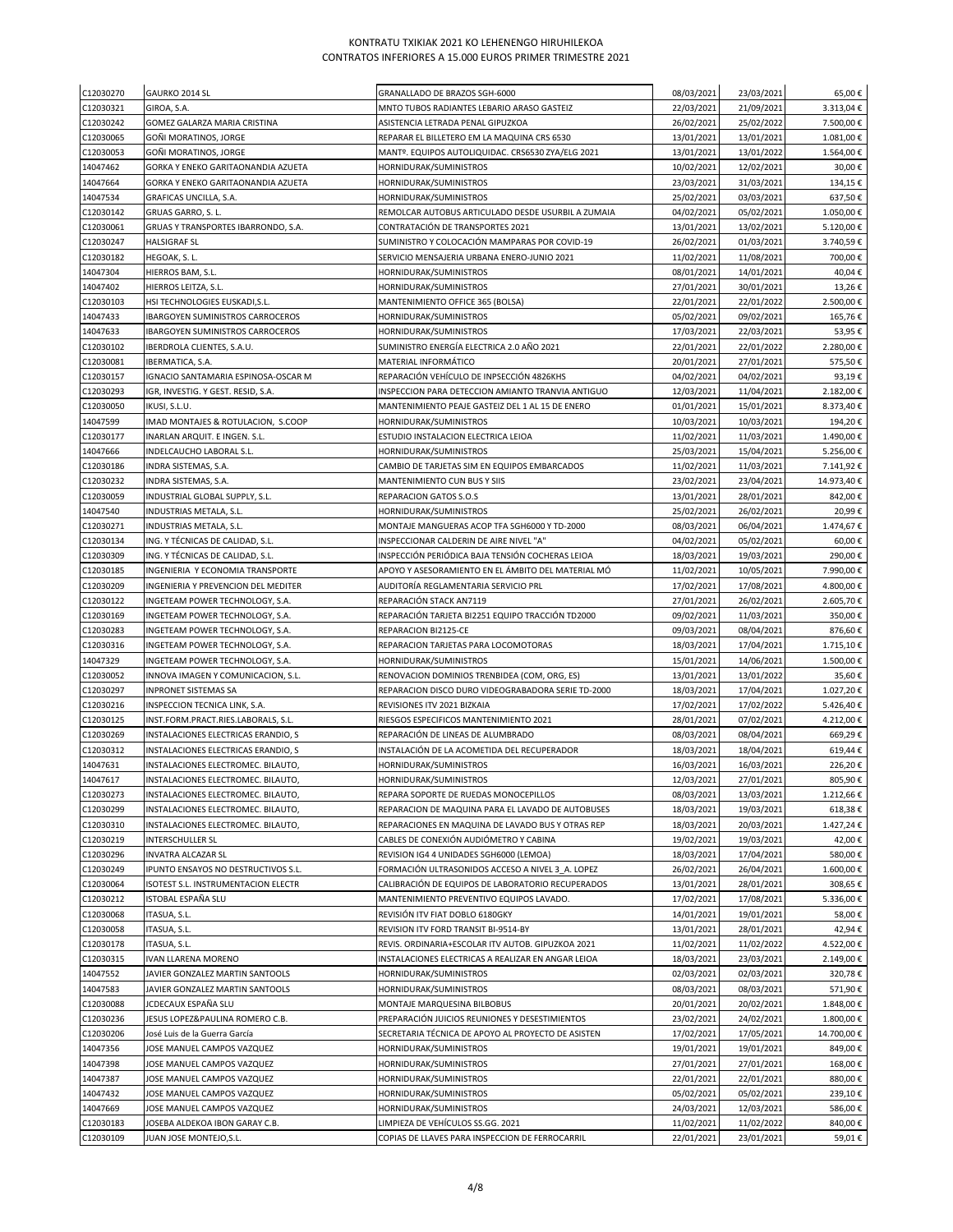| C12030270              | GAURKO 2014 SL                                                                     | GRANALLADO DE BRAZOS SGH-6000                                                     | 08/03/2021               | 23/03/2021               | 65,00€               |
|------------------------|------------------------------------------------------------------------------------|-----------------------------------------------------------------------------------|--------------------------|--------------------------|----------------------|
| C12030321              | GIROA, S.A.                                                                        | MNTO TUBOS RADIANTES LEBARIO ARASO GASTEIZ                                        | 22/03/2021               | 21/09/2021               | 3.313,04€            |
| C12030242              | GOMEZ GALARZA MARIA CRISTINA                                                       | ASISTENCIA LETRADA PENAL GIPUZKOA                                                 | 26/02/2021               | 25/02/2022               | 7.500,00€            |
| C12030065              | GOÑI MORATINOS, JORGE                                                              | REPARAR EL BILLETERO EM LA MAQUINA CRS 6530                                       | 13/01/2021               | 13/01/2021               | 1.081,00€            |
| C12030053              | GOÑI MORATINOS, JORGE                                                              | MANTº. EQUIPOS AUTOLIQUIDAC. CRS6530 ZYA/ELG 2021                                 | 13/01/2021               | 13/01/2022               | 1.564,00€            |
| 14047462<br>14047664   | GORKA Y ENEKO GARITAONANDIA AZUETA<br>GORKA Y ENEKO GARITAONANDIA AZUETA           | HORNIDURAK/SUMINISTROS<br>HORNIDURAK/SUMINISTROS                                  | 10/02/2021<br>23/03/2021 | 12/02/2021<br>31/03/2021 | 30,00€<br>134,15€    |
| 14047534               | GRAFICAS UNCILLA, S.A.                                                             | HORNIDURAK/SUMINISTROS                                                            | 25/02/2021               | 03/03/2021               | 637,50€              |
| C12030142              | GRUAS GARRO, S. L.                                                                 | REMOLCAR AUTOBUS ARTICULADO DESDE USURBIL A ZUMAIA                                | 04/02/2021               | 05/02/2021               | 1.050,00€            |
| C12030061              | GRUAS Y TRANSPORTES IBARRONDO, S.A.                                                | CONTRATACIÓN DE TRANSPORTES 2021                                                  | 13/01/2021               | 13/02/2021               | 5.120,00€            |
| C12030247              | HALSIGRAF SL                                                                       | SUMINISTRO Y COLOCACIÓN MAMPARAS POR COVID-19                                     | 26/02/2021               | 01/03/2021               | 3.740,59€            |
| C12030182              | HEGOAK, S. L.                                                                      | SERVICIO MENSAJERIA URBANA ENERO-JUNIO 2021                                       | 11/02/2021               | 11/08/2021               | 700,00€              |
| 14047304               | HIERROS BAM, S.L.                                                                  | HORNIDURAK/SUMINISTROS                                                            | 08/01/2021               | 14/01/2021               | 40,04€               |
| 14047402               | HIERROS LEITZA, S.L.                                                               | HORNIDURAK/SUMINISTROS                                                            | 27/01/2021               | 30/01/2021               | 13,26€               |
| C12030103              | HSI TECHNOLOGIES EUSKADI, S.L.                                                     | MANTENIMIENTO OFFICE 365 (BOLSA)                                                  | 22/01/2021               | 22/01/2022               | 2.500,00€            |
| 14047433<br>14047633   | <b>IBARGOYEN SUMINISTROS CARROCEROS</b><br><b>IBARGOYEN SUMINISTROS CARROCEROS</b> | HORNIDURAK/SUMINISTROS<br>HORNIDURAK/SUMINISTROS                                  | 05/02/2021<br>17/03/2021 | 09/02/2021<br>22/03/2021 | 165,76€<br>53,95€    |
| C12030102              | IBERDROLA CLIENTES, S.A.U.                                                         | SUMINISTRO ENERGÍA ELECTRICA 2.0 AÑO 2021                                         | 22/01/2021               | 22/01/2022               | 2.280,00€            |
| C12030081              | IBERMATICA, S.A.                                                                   | MATERIAL INFORMÁTICO                                                              | 20/01/2021               | 27/01/2021               | 575,50€              |
| C12030157              | IGNACIO SANTAMARIA ESPINOSA-OSCAR M                                                | REPARACIÓN VEHÍCULO DE INPSECCIÓN 4826KHS                                         | 04/02/2021               | 04/02/2021               | 93,19€               |
| C12030293              | IGR, INVESTIG. Y GEST. RESID, S.A.                                                 | INSPECCION PARA DETECCION AMIANTO TRANVIA ANTIGUO                                 | 12/03/2021               | 11/04/2021               | 2.182,00€            |
| C12030050              | IKUSI, S.L.U.                                                                      | MANTENIMIENTO PEAJE GASTEIZ DEL 1 AL 15 DE ENERO                                  | 01/01/2021               | 15/01/2021               | 8.373,40€            |
| 14047599               | IMAD MONTAJES & ROTULACION, S.COOP                                                 | HORNIDURAK/SUMINISTROS                                                            | 10/03/2021               | 10/03/2021               | 194,20€              |
| C12030177              | INARLAN ARQUIT. E INGEN. S.L.                                                      | ESTUDIO INSTALACION ELECTRICA LEIOA                                               | 11/02/2021               | 11/03/2021               | 1.490,00€            |
| 14047666               | INDELCAUCHO LABORAL S.L.                                                           | HORNIDURAK/SUMINISTROS                                                            | 25/03/2021               | 15/04/2021               | 5.256,00€            |
| C12030186              | INDRA SISTEMAS, S.A.                                                               | CAMBIO DE TARJETAS SIM EN EQUIPOS EMBARCADOS                                      | 11/02/2021               | 11/03/2021               | 7.141,92 €           |
| C12030232              | INDRA SISTEMAS, S.A.                                                               | MANTENIMIENTO CUN BUS Y SIIS                                                      | 23/02/2021               | 23/04/2021               | 14.973,40€           |
| C12030059<br>14047540  | INDUSTRIAL GLOBAL SUPPLY, S.L.<br>INDUSTRIAS METALA, S.L.                          | REPARACION GATOS S.O.S<br>HORNIDURAK/SUMINISTROS                                  | 13/01/2021<br>25/02/2021 | 28/01/2021               | 842,00€<br>20,99€    |
| C12030271              | INDUSTRIAS METALA, S.L.                                                            | MONTAJE MANGUERAS ACOP TFA SGH6000 Y TD-2000                                      | 08/03/2021               | 26/02/2021<br>06/04/2021 | 1.474,67€            |
| C12030134              | ING. Y TÉCNICAS DE CALIDAD, S.L.                                                   | INSPECCIONAR CALDERIN DE AIRE NIVEL "A"                                           | 04/02/2021               | 05/02/2021               | 60,00€               |
| C12030309              | ING. Y TÉCNICAS DE CALIDAD, S.L.                                                   | INSPECCIÓN PERIÓDICA BAJA TENSIÓN COCHERAS LEIOA                                  | 18/03/2021               | 19/03/2021               | 290,00€              |
| C12030185              | INGENIERIA Y ECONOMIA TRANSPORTE                                                   | APOYO Y ASESORAMIENTO EN EL ÁMBITO DEL MATERIAL MÓ                                | 11/02/2021               | 10/05/2021               | 7.990,00€            |
| C12030209              | INGENIERIA Y PREVENCION DEL MEDITER                                                | AUDITORÍA REGLAMENTARIA SERVICIO PRL                                              | 17/02/2021               | 17/08/2021               | 4.800,00€            |
| C12030122              | INGETEAM POWER TECHNOLOGY, S.A.                                                    | REPARACIÓN STACK AN7119                                                           | 27/01/2021               | 26/02/2021               | 2.605,70€            |
| C12030169              | INGETEAM POWER TECHNOLOGY, S.A.                                                    | REPARACIÓN TARJETA BI2251 EQUIPO TRACCIÓN TD2000                                  | 09/02/2021               | 11/03/2021               | 350,00€              |
| C12030283              | INGETEAM POWER TECHNOLOGY, S.A.                                                    | REPARACION BI2125-CE                                                              | 09/03/2021               | 08/04/2021               | 876,60€              |
| C12030316              | INGETEAM POWER TECHNOLOGY, S.A.                                                    | REPARACION TARJETAS PARA LOCOMOTORAS                                              | 18/03/2021               | 17/04/2021               | 1.715,10€            |
| 14047329<br>C12030052  | INGETEAM POWER TECHNOLOGY, S.A.                                                    | HORNIDURAK/SUMINISTROS<br>RENOVACION DOMINIOS TRENBIDEA (COM, ORG, ES)            | 15/01/2021<br>13/01/2021 | 14/06/2021<br>13/01/2022 | 1.500,00€<br>35,60€  |
| C12030297              | INNOVA IMAGEN Y COMUNICACION, S.L.<br>INPRONET SISTEMAS SA                         | REPARACION DISCO DURO VIDEOGRABADORA SERIE TD-2000                                | 18/03/2021               | 17/04/2021               | 1.027,20€            |
| C12030216              | INSPECCION TECNICA LINK, S.A.                                                      | REVISIONES ITV 2021 BIZKAIA                                                       | 17/02/2021               | 17/02/2022               | 5.426,40€            |
| C12030125              | INST.FORM.PRACT.RIES.LABORALS, S.L.                                                | RIESGOS ESPECIFICOS MANTENIMIENTO 2021                                            | 28/01/2021               | 07/02/2021               | 4.212,00€            |
| C12030269              | INSTALACIONES ELECTRICAS ERANDIO, S                                                | REPARACIÓN DE LINEAS DE ALUMBRADO                                                 | 08/03/2021               | 08/04/2021               | 669,29€              |
| C12030312              | INSTALACIONES ELECTRICAS ERANDIO, S                                                | INSTALACIÓN DE LA ACOMETIDA DEL RECUPERADOR                                       | 18/03/2021               | 18/04/2021               | 619,44€              |
| 14047631               | INSTALACIONES ELECTROMEC. BILAUTO,                                                 | HORNIDURAK/SUMINISTROS                                                            | 16/03/2021               | 16/03/2021               | 226,20€              |
| 14047617               | INSTALACIONES ELECTROMEC. BILAUTO,                                                 | HORNIDURAK/SUMINISTROS                                                            | 12/03/2021               | 27/01/2021               | 805,90€              |
| C12030273              | INSTALACIONES ELECTROMEC. BILAUTO,                                                 | REPARA SOPORTE DE RUEDAS MONOCEPILLOS                                             | 08/03/2021               | 13/03/2021               | 1.212,66€            |
| C12030299              | INSTALACIONES ELECTROMEC. BILAUTO,                                                 | REPARACION DE MAQUINA PARA EL LAVADO DE AUTOBUSES                                 | 18/03/2021               | 19/03/2021               | 618,38€              |
| C12030310              | INSTALACIONES ELECTROMEC. BILAUTO,                                                 | REPARACIONES EN MAQUINA DE LAVADO BUS Y OTRAS REP                                 | 18/03/2021               | 20/03/2021               | 1.427,24€            |
| C12030219<br>C12030296 | INTERSCHULLER SL<br>INVATRA ALCAZAR SL                                             | CABLES DE CONEXIÓN AUDIÓMETRO Y CABINA<br>REVISION IG4 4 UNIDADES SGH6000 (LEMOA) | 19/02/2021<br>18/03/2021 | 19/03/2021<br>17/04/2021 | 42,00€<br>580,00€    |
| C12030249              | IPUNTO ENSAYOS NO DESTRUCTIVOS S.L.                                                | FORMACIÓN ULTRASONIDOS ACCESO A NIVEL 3 A. LOPEZ                                  | 26/02/2021               | 26/04/2021               | 1.600,00€            |
| C12030064              | ISOTEST S.L. INSTRUMENTACION ELECTR                                                | CALIBRACIÓN DE EQUIPOS DE LABORATORIO RECUPERADOS                                 | 13/01/2021               | 28/01/2021               | 308,65€              |
| C12030212              | ISTOBAL ESPAÑA SLU                                                                 | MANTENIMIENTO PREVENTIVO EQUIPOS LAVADO.                                          | 17/02/2021               | 17/08/2021               | 5.336,00€            |
| C12030068              | ITASUA, S.L.                                                                       | REVISIÓN ITV FIAT DOBLO 6180GKY                                                   | 14/01/2021               | 19/01/2021               | 58,00€               |
| C12030058              | ITASUA, S.L.                                                                       | REVISION ITV FORD TRANSIT BI-9514-BY                                              | 13/01/2021               | 28/01/2021               | 42,94€               |
| C12030178              | ITASUA, S.L.                                                                       | REVIS. ORDINARIA+ESCOLAR ITV AUTOB. GIPUZKOA 2021                                 | 11/02/2021               | 11/02/2022               | 4.522,00€            |
| C12030315              | IVAN LLARENA MORENO                                                                | INSTALACIONES ELECTRICAS A REALIZAR EN ANGAR LEIOA                                | 18/03/2021               | 23/03/2021               | 2.149,00€            |
| 14047552               | JAVIER GONZALEZ MARTIN SANTOOLS                                                    | HORNIDURAK/SUMINISTROS                                                            | 02/03/2021               | 02/03/2021               | 320,78€              |
| 14047583<br>C12030088  | JAVIER GONZALEZ MARTIN SANTOOLS<br>JCDECAUX ESPAÑA SLU                             | HORNIDURAK/SUMINISTROS<br>MONTAJE MARQUESINA BILBOBUS                             | 08/03/2021<br>20/01/2021 | 08/03/2021<br>20/02/2021 | 571,90€<br>1.848,00€ |
| C12030236              | JESUS LOPEZ&PAULINA ROMERO C.B.                                                    | PREPARACIÓN JUICIOS REUNIONES Y DESESTIMIENTOS                                    | 23/02/2021               | 24/02/2021               | 1.800,00€            |
| C12030206              | José Luis de la Guerra García                                                      | SECRETARIA TÉCNICA DE APOYO AL PROYECTO DE ASISTEN                                | 17/02/2021               | 17/05/2021               | 14.700,00€           |
| 14047356               | JOSE MANUEL CAMPOS VAZQUEZ                                                         | HORNIDURAK/SUMINISTROS                                                            | 19/01/2021               | 19/01/2021               | 849,00€              |
| 14047398               | JOSE MANUEL CAMPOS VAZQUEZ                                                         | HORNIDURAK/SUMINISTROS                                                            | 27/01/2021               | 27/01/2021               | 168,00€              |
| 14047387               | JOSE MANUEL CAMPOS VAZQUEZ                                                         | HORNIDURAK/SUMINISTROS                                                            | 22/01/2021               | 22/01/2021               | 880,00€              |
| 14047432               | JOSE MANUEL CAMPOS VAZQUEZ                                                         | HORNIDURAK/SUMINISTROS                                                            | 05/02/2021               | 05/02/2021               | 239,10€              |
| 14047669               | <b>IOSE MANUEL CAMPOS VAZQUEZ</b>                                                  | HORNIDURAK/SUMINISTROS                                                            | 24/03/2021               | 12/03/2021               | 586,00€              |
| C12030183              | JOSEBA ALDEKOA IBON GARAY C.B.                                                     | LIMPIEZA DE VEHÍCULOS SS.GG. 2021                                                 | 11/02/2021               | 11/02/2022               | 840,00€              |
| C12030109              | JUAN JOSE MONTEJO,S.L.                                                             | COPIAS DE LLAVES PARA INSPECCION DE FERROCARRIL                                   | 22/01/2021               | 23/01/2021               | 59,01€               |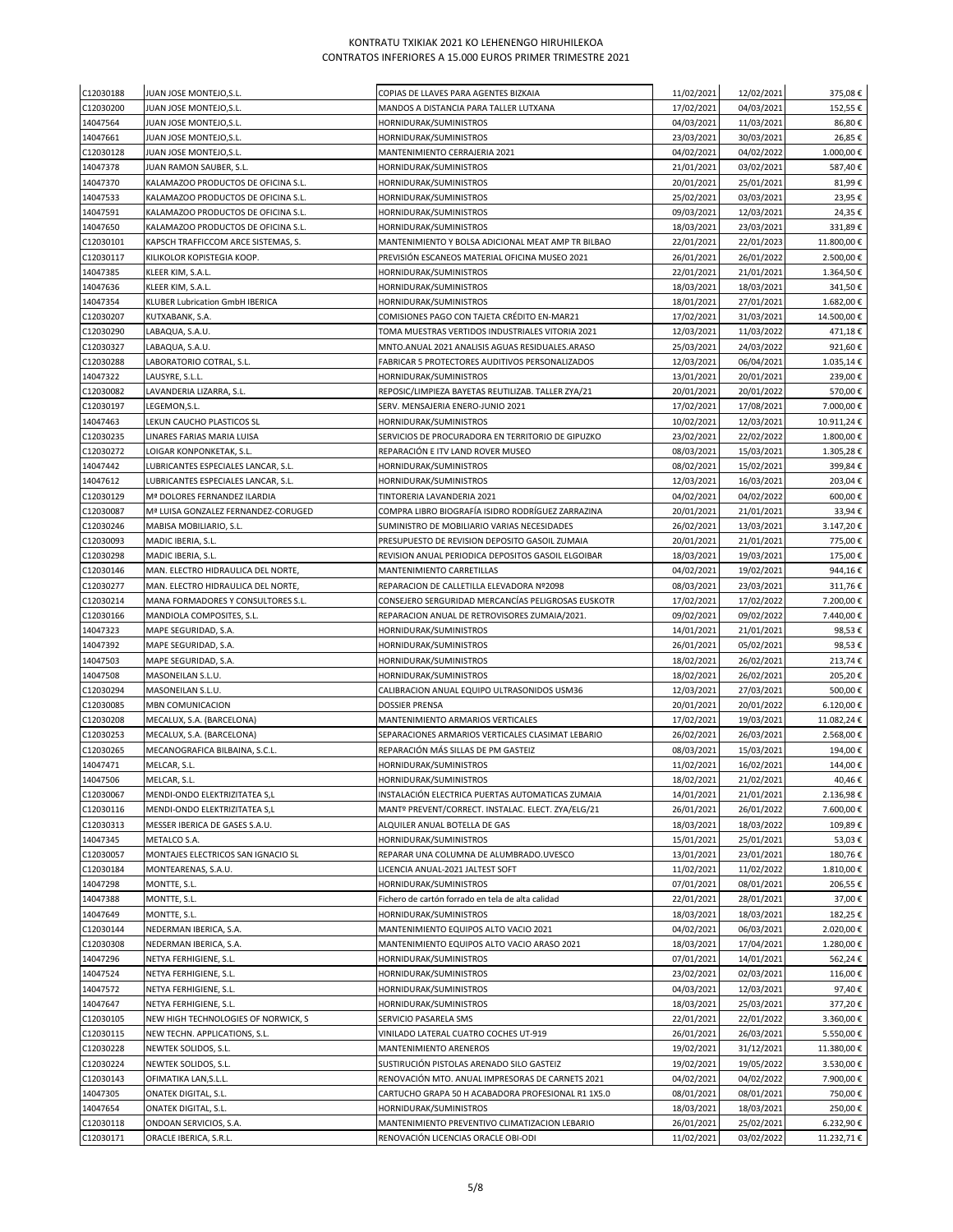| C12030188            | JUAN JOSE MONTEJO, S.L.                      | COPIAS DE LLAVES PARA AGENTES BIZKAIA              | 11/02/2021               | 12/02/2021               | 375,08€          |
|----------------------|----------------------------------------------|----------------------------------------------------|--------------------------|--------------------------|------------------|
| C12030200            | JUAN JOSE MONTEJO, S.L.                      | MANDOS A DISTANCIA PARA TALLER LUTXANA             | 17/02/2021               | 04/03/2021               | 152,55€          |
| 14047564             | JUAN JOSE MONTEJO, S.L.                      | HORNIDURAK/SUMINISTROS                             | 04/03/2021               | 11/03/2021               | 86,80€           |
| 14047661             | JUAN JOSE MONTEJO, S.L.                      | HORNIDURAK/SUMINISTROS                             | 23/03/2021               | 30/03/2021               | 26,85€           |
| C12030128            | JUAN JOSE MONTEJO,S.L.                       | MANTENIMIENTO CERRAJERIA 2021                      | 04/02/2021               | 04/02/2022               | 1.000,00€        |
| 14047378             | JUAN RAMON SAUBER, S.L.                      | HORNIDURAK/SUMINISTROS                             | 21/01/2021               | 03/02/2021               | 587,40€          |
| 14047370             | KALAMAZOO PRODUCTOS DE OFICINA S.L.          | HORNIDURAK/SUMINISTROS                             | 20/01/2021               | 25/01/2021               | 81,99€           |
| 14047533             | KALAMAZOO PRODUCTOS DE OFICINA S.L.          | HORNIDURAK/SUMINISTROS                             | 25/02/2021               | 03/03/2021               | 23,95€           |
| 14047591             | KALAMAZOO PRODUCTOS DE OFICINA S.L.          | HORNIDURAK/SUMINISTROS                             | 09/03/2021               | 12/03/2021               | 24,35€           |
| 14047650             | KALAMAZOO PRODUCTOS DE OFICINA S.L.          | HORNIDURAK/SUMINISTROS                             | 18/03/2021               | 23/03/2021               | 331,89€          |
| C12030101            | KAPSCH TRAFFICCOM ARCE SISTEMAS, S.          | MANTENIMIENTO Y BOLSA ADICIONAL MEAT AMP TR BILBAO | 22/01/2021               | 22/01/2023               | 11.800,00€       |
| C12030117            | KILIKOLOR KOPISTEGIA KOOP.                   | PREVISIÓN ESCANEOS MATERIAL OFICINA MUSEO 2021     | 26/01/2021               | 26/01/2022               | 2.500,00€        |
| 14047385             | KLEER KIM, S.A.L.                            | HORNIDURAK/SUMINISTROS                             | 22/01/2021               | 21/01/2021               | 1.364,50€        |
| 14047636             | KLEER KIM, S.A.L.                            | HORNIDURAK/SUMINISTROS                             | 18/03/2021               | 18/03/2021               | 341,50€          |
| 14047354             | KLUBER Lubrication GmbH IBERICA              | HORNIDURAK/SUMINISTROS                             | 18/01/2021               | 27/01/2021               | 1.682,00€        |
| C12030207            | KUTXABANK, S.A.                              | COMISIONES PAGO CON TAJETA CRÉDITO EN-MAR21        | 17/02/2021               | 31/03/2021               | 14.500,00€       |
| C12030290            | LABAQUA, S.A.U.                              | TOMA MUESTRAS VERTIDOS INDUSTRIALES VITORIA 2021   | 12/03/2021               | 11/03/2022               | 471,18€          |
| C12030327            | LABAQUA, S.A.U.                              | MNTO.ANUAL 2021 ANALISIS AGUAS RESIDUALES.ARASO    | 25/03/2021               | 24/03/2022               | 921,60€          |
| C12030288            | LABORATORIO COTRAL, S.L.                     | FABRICAR 5 PROTECTORES AUDITIVOS PERSONALIZADOS    | 12/03/2021               | 06/04/2021               | 1.035,14€        |
| 14047322             | LAUSYRE, S.L.L.                              | HORNIDURAK/SUMINISTROS                             | 13/01/2021               | 20/01/2021               | 239,00€          |
| C12030082            | LAVANDERIA LIZARRA, S.L.                     | REPOSIC/LIMPIEZA BAYETAS REUTILIZAB. TALLER ZYA/21 | 20/01/2021               | 20/01/2022               | 570,00€          |
| C12030197            | LEGEMON, S.L.                                | SERV. MENSAJERIA ENERO-JUNIO 2021                  | 17/02/2021               | 17/08/2021               | 7.000,00€        |
| 14047463             | LEKUN CAUCHO PLASTICOS SL                    | HORNIDURAK/SUMINISTROS                             | 10/02/2021               | 12/03/2021               | 10.911,24€       |
| C12030235            | LINARES FARIAS MARIA LUISA                   | SERVICIOS DE PROCURADORA EN TERRITORIO DE GIPUZKO  | 23/02/2021               | 22/02/2022               | 1.800,00€        |
| C12030272            | LOIGAR KONPONKETAK, S.L.                     | REPARACIÓN E ITV LAND ROVER MUSEO                  | 08/03/2021               | 15/03/2021               | 1.305,28€        |
| 14047442             | LUBRICANTES ESPECIALES LANCAR, S.L.          | HORNIDURAK/SUMINISTROS                             | 08/02/2021               | 15/02/2021               | 399,84€          |
| 14047612             | LUBRICANTES ESPECIALES LANCAR, S.L.          | HORNIDURAK/SUMINISTROS                             | 12/03/2021               | 16/03/2021               | 203,04€          |
| C12030129            | Mª DOLORES FERNANDEZ ILARDIA                 | TINTORERIA LAVANDERIA 2021                         | 04/02/2021               | 04/02/2022               | 600,00€          |
| C12030087            | Mª LUISA GONZALEZ FERNANDEZ-CORUGED          | COMPRA LIBRO BIOGRAFÍA ISIDRO RODRÍGUEZ ZARRAZINA  | 20/01/2021               | 21/01/2021               | 33,94€           |
| C12030246            | MABISA MOBILIARIO, S.L.                      | SUMINISTRO DE MOBILIARIO VARIAS NECESIDADES        | 26/02/2021               | 13/03/2021               | 3.147,20€        |
| C12030093            | MADIC IBERIA, S.L.                           | PRESUPUESTO DE REVISION DEPOSITO GASOIL ZUMAIA     | 20/01/2021               | 21/01/2021               | 775,00€          |
| C12030298            | MADIC IBERIA, S.L.                           | REVISION ANUAL PERIODICA DEPOSITOS GASOIL ELGOIBAR | 18/03/2021               | 19/03/2021               | 175,00€          |
| C12030146            | MAN. ELECTRO HIDRAULICA DEL NORTE,           | MANTENIMIENTO CARRETILLAS                          | 04/02/2021               | 19/02/2021               | 944,16€          |
| C12030277            | MAN. ELECTRO HIDRAULICA DEL NORTE,           | REPARACION DE CALLETILLA ELEVADORA Nº2098          | 08/03/2021               | 23/03/2021               | 311,76€          |
| C12030214            | MANA FORMADORES Y CONSULTORES S.L.           | CONSEJERO SERGURIDAD MERCANCÍAS PELIGROSAS EUSKOTR | 17/02/2021               | 17/02/2022               | 7.200,00€        |
| C12030166            | MANDIOLA COMPOSITES, S.L.                    | REPARACION ANUAL DE RETROVISORES ZUMAIA/2021.      | 09/02/2021               | 09/02/2022               | 7.440,00€        |
| 14047323<br>14047392 | MAPE SEGURIDAD, S.A.<br>MAPE SEGURIDAD, S.A. | HORNIDURAK/SUMINISTROS<br>HORNIDURAK/SUMINISTROS   | 14/01/2021<br>26/01/2021 | 21/01/2021<br>05/02/2021 | 98,53€<br>98,53€ |
| 14047503             | MAPE SEGURIDAD, S.A.                         | HORNIDURAK/SUMINISTROS                             | 18/02/2021               | 26/02/2021               | 213,74€          |
| 14047508             | MASONEILAN S.L.U.                            | HORNIDURAK/SUMINISTROS                             | 18/02/2021               | 26/02/2021               | 205,20€          |
| C12030294            | MASONEILAN S.L.U.                            | CALIBRACION ANUAL EQUIPO ULTRASONIDOS USM36        | 12/03/2021               | 27/03/2021               | 500,00€          |
| C12030085            | MBN COMUNICACION                             | <b>DOSSIER PRENSA</b>                              | 20/01/2021               | 20/01/2022               | 6.120,00€        |
| C12030208            | MECALUX, S.A. (BARCELONA)                    | MANTENIMIENTO ARMARIOS VERTICALES                  | 17/02/2021               | 19/03/2021               | 11.082,24€       |
| C12030253            | MECALUX, S.A. (BARCELONA)                    | SEPARACIONES ARMARIOS VERTICALES CLASIMAT LEBARIO  | 26/02/2021               | 26/03/2021               | 2.568,00€        |
| C12030265            | MECANOGRAFICA BILBAINA, S.C.L.               | REPARACIÓN MÁS SILLAS DE PM GASTEIZ                | 08/03/2021               | 15/03/2021               | 194,00€          |
| 14047471             | MELCAR, S.L.                                 | HORNIDURAK/SUMINISTROS                             | 11/02/2021               | 16/02/2021               | 144,00€          |
| 14047506             | MELCAR, S.L.                                 | HORNIDURAK/SUMINISTROS                             | 18/02/2021               | 21/02/2021               | 40,46€           |
| C12030067            | MENDI-ONDO ELEKTRIZITATEA S,L                | INSTALACIÓN ELECTRICA PUERTAS AUTOMATICAS ZUMAIA   | 14/01/2021               | 21/01/2021               | 2.136,98€        |
| C12030116            | MENDI-ONDO ELEKTRIZITATEA S,L                | MANTº PREVENT/CORRECT. INSTALAC. ELECT. ZYA/ELG/21 | 26/01/2021               | 26/01/2022               | 7.600,00€        |
| C12030313            | MESSER IBERICA DE GASES S.A.U.               | ALQUILER ANUAL BOTELLA DE GAS                      | 18/03/2021               | 18/03/2022               | 109,89€          |
| 14047345             | METALCO S.A.                                 | HORNIDURAK/SUMINISTROS                             | 15/01/2021               | 25/01/2021               | 53,03€           |
| C12030057            | MONTAJES ELECTRICOS SAN IGNACIO SL           | REPARAR UNA COLUMNA DE ALUMBRADO.UVESCO            | 13/01/2021               | 23/01/2021               | 180,76€          |
| C12030184            | MONTEARENAS, S.A.U.                          | LICENCIA ANUAL-2021 JALTEST SOFT                   | 11/02/2021               | 11/02/2022               | 1.810,00€        |
| 14047298             | MONTTE, S.L.                                 | HORNIDURAK/SUMINISTROS                             | 07/01/2021               | 08/01/2021               | 206,55€          |
| 14047388             | MONTTE, S.L.                                 | Fichero de cartón forrado en tela de alta calidad  | 22/01/2021               | 28/01/2021               | 37,00€           |
| 14047649             | MONTTE, S.L.                                 | HORNIDURAK/SUMINISTROS                             | 18/03/2021               | 18/03/2021               | 182,25€          |
| C12030144            | NEDERMAN IBERICA, S.A.                       | MANTENIMIENTO EQUIPOS ALTO VACIO 2021              | 04/02/2021               | 06/03/2021               | 2.020,00€        |
| C12030308            | NEDERMAN IBERICA, S.A.                       | MANTENIMIENTO EQUIPOS ALTO VACIO ARASO 2021        | 18/03/2021               | 17/04/2021               | 1.280,00€        |
| 14047296             | NETYA FERHIGIENE, S.L.                       | HORNIDURAK/SUMINISTROS                             | 07/01/2021               | 14/01/2021               | 562,24€          |
| 14047524             | NETYA FERHIGIENE, S.L.                       | HORNIDURAK/SUMINISTROS                             | 23/02/2021               | 02/03/2021               | 116,00€          |
| 14047572             | NETYA FERHIGIENE, S.L.                       | HORNIDURAK/SUMINISTROS                             | 04/03/2021               | 12/03/2021               | 97,40€           |
| 14047647             | NETYA FERHIGIENE, S.L.                       | HORNIDURAK/SUMINISTROS                             | 18/03/2021               | 25/03/2021               | 377,20€          |
| C12030105            | NEW HIGH TECHNOLOGIES OF NORWICK, S          | SERVICIO PASARELA SMS                              | 22/01/2021               | 22/01/2022               | 3.360,00€        |
| C12030115            | NEW TECHN. APPLICATIONS, S.L.                | VINILADO LATERAL CUATRO COCHES UT-919              | 26/01/2021               | 26/03/2021               | 5.550,00€        |
| C12030228            | NEWTEK SOLIDOS, S.L.                         | MANTENIMIENTO ARENEROS                             | 19/02/2021               | 31/12/2021               | 11.380,00€       |
| C12030224            | NEWTEK SOLIDOS, S.L.                         | SUSTIRUCIÓN PISTOLAS ARENADO SILO GASTEIZ          | 19/02/2021               | 19/05/2022               | 3.530,00€        |
| C12030143            | OFIMATIKA LAN, S.L.L.                        | RENOVACIÓN MTO. ANUAL IMPRESORAS DE CARNETS 2021   | 04/02/2021               | 04/02/2022               | 7.900,00€        |
| 14047305             | ONATEK DIGITAL, S.L.                         | CARTUCHO GRAPA 50 H ACABADORA PROFESIONAL R1 1X5.0 | 08/01/2021               | 08/01/2021               | 750,00€          |
| 14047654             | ONATEK DIGITAL, S.L.                         | HORNIDURAK/SUMINISTROS                             | 18/03/2021               | 18/03/2021               | 250,00€          |
| C12030118            | ONDOAN SERVICIOS, S.A.                       | MANTENIMIENTO PREVENTIVO CLIMATIZACION LEBARIO     | 26/01/2021               | 25/02/2021               | 6.232,90€        |
| C12030171            | ORACLE IBERICA, S.R.L.                       | RENOVACIÓN LICENCIAS ORACLE OBI-ODI                | 11/02/2021               | 03/02/2022               | 11.232,71€       |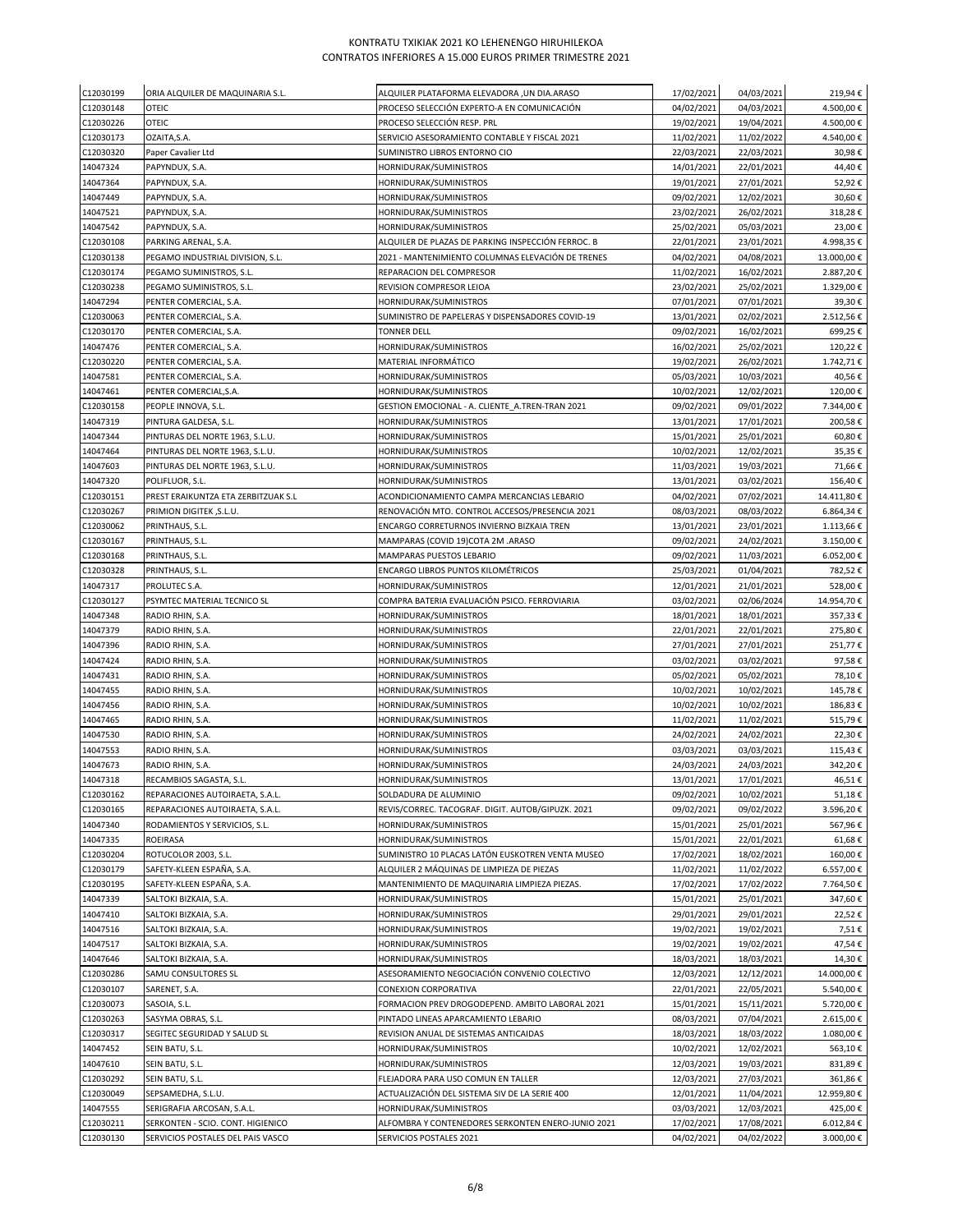| C12030199              | ORIA ALQUILER DE MAQUINARIA S.L.                      | ALQUILER PLATAFORMA ELEVADORA ,UN DIA.ARASO                                                  | 17/02/2021               | 04/03/2021               | 219,94€                  |
|------------------------|-------------------------------------------------------|----------------------------------------------------------------------------------------------|--------------------------|--------------------------|--------------------------|
| C12030148              | OTEIC                                                 | PROCESO SELECCIÓN EXPERTO-A EN COMUNICACIÓN                                                  | 04/02/2021               | 04/03/2021               | 4.500,00€                |
| C12030226              | OTEIC                                                 | PROCESO SELECCIÓN RESP. PRL                                                                  | 19/02/2021               | 19/04/2021               | 4.500,00€                |
| C12030173              | OZAITA, S.A.                                          | SERVICIO ASESORAMIENTO CONTABLE Y FISCAL 2021                                                | 11/02/2021               | 11/02/2022               | 4.540,00€                |
| C12030320<br>14047324  | Paper Cavalier Ltd<br>PAPYNDUX, S.A.                  | SUMINISTRO LIBROS ENTORNO CIO<br>HORNIDURAK/SUMINISTROS                                      | 22/03/2021<br>14/01/2021 | 22/03/2021<br>22/01/2021 | 30,98€<br>44,40€         |
| 14047364               | PAPYNDUX, S.A.                                        | HORNIDURAK/SUMINISTROS                                                                       | 19/01/2021               | 27/01/2021               | 52,92€                   |
| 14047449               | PAPYNDUX, S.A.                                        | HORNIDURAK/SUMINISTROS                                                                       | 09/02/2021               | 12/02/2021               | 30,60€                   |
| 14047521               | PAPYNDUX, S.A.                                        | HORNIDURAK/SUMINISTROS                                                                       | 23/02/2021               | 26/02/2021               | 318,28€                  |
| 14047542               | PAPYNDUX, S.A.                                        | HORNIDURAK/SUMINISTROS                                                                       | 25/02/2021               | 05/03/2021               | 23,00€                   |
| C12030108              | PARKING ARENAL, S.A.                                  | ALQUILER DE PLAZAS DE PARKING INSPECCIÓN FERROC. B                                           | 22/01/2021               | 23/01/2021               | 4.998,35€                |
| C12030138              | PEGAMO INDUSTRIAL DIVISION, S.L.                      | 2021 - MANTENIMIENTO COLUMNAS ELEVACIÓN DE TRENES                                            | 04/02/2021               | 04/08/2021               | 13.000,00€               |
| C12030174              | PEGAMO SUMINISTROS, S.L.                              | REPARACION DEL COMPRESOR                                                                     | 11/02/2021               | 16/02/2021               | 2.887,20€                |
| C12030238              | PEGAMO SUMINISTROS, S.L.                              | REVISION COMPRESOR LEIOA                                                                     | 23/02/2021               | 25/02/2021               | 1.329,00€                |
| 14047294               | PENTER COMERCIAL, S.A.                                | HORNIDURAK/SUMINISTROS                                                                       | 07/01/2021               | 07/01/2021               | 39,30€                   |
| C12030063<br>C12030170 | PENTER COMERCIAL, S.A.<br>PENTER COMERCIAL, S.A.      | SUMINISTRO DE PAPELERAS Y DISPENSADORES COVID-19<br><b>TONNER DELL</b>                       | 13/01/2021<br>09/02/2021 | 02/02/2021<br>16/02/2021 | 2.512,56€<br>699,25€     |
| 14047476               | PENTER COMERCIAL, S.A.                                | HORNIDURAK/SUMINISTROS                                                                       | 16/02/2021               | 25/02/2021               | 120,22€                  |
| C12030220              | PENTER COMERCIAL, S.A.                                | MATERIAL INFORMÁTICO                                                                         | 19/02/2021               | 26/02/2021               | 1.742,71€                |
| 14047581               | PENTER COMERCIAL, S.A.                                | HORNIDURAK/SUMINISTROS                                                                       | 05/03/2021               | 10/03/2021               | 40,56€                   |
| 14047461               | PENTER COMERCIAL, S.A.                                | HORNIDURAK/SUMINISTROS                                                                       | 10/02/2021               | 12/02/2021               | 120,00€                  |
| C12030158              | PEOPLE INNOVA, S.L.                                   | GESTION EMOCIONAL - A. CLIENTE_A.TREN-TRAN 2021                                              | 09/02/2021               | 09/01/2022               | 7.344,00€                |
| 14047319               | PINTURA GALDESA, S.L.                                 | HORNIDURAK/SUMINISTROS                                                                       | 13/01/2021               | 17/01/2021               | 200,58€                  |
| 14047344               | PINTURAS DEL NORTE 1963, S.L.U.                       | HORNIDURAK/SUMINISTROS                                                                       | 15/01/2021               | 25/01/2021               | 60,80€                   |
| 14047464               | PINTURAS DEL NORTE 1963, S.L.U.                       | HORNIDURAK/SUMINISTROS                                                                       | 10/02/2021               | 12/02/2021               | 35,35€                   |
| 14047603               | PINTURAS DEL NORTE 1963, S.L.U.                       | HORNIDURAK/SUMINISTROS                                                                       | 11/03/2021               | 19/03/2021               | 71,66€                   |
| 14047320               | POLIFLUOR, S.L.                                       | HORNIDURAK/SUMINISTROS                                                                       | 13/01/2021               | 03/02/2021               | 156,40€                  |
| C12030151<br>C12030267 | PREST ERAIKUNTZA ETA ZERBITZUAK S.L<br>,S.L.U ו.S.L.U | ACONDICIONAMIENTO CAMPA MERCANCIAS LEBARIO<br>RENOVACIÓN MTO. CONTROL ACCESOS/PRESENCIA 2021 | 04/02/2021<br>08/03/2021 | 07/02/2021<br>08/03/2022 | 14.411,80 €<br>6.864,34€ |
| C12030062              | PRINTHAUS, S.L.                                       | ENCARGO CORRETURNOS INVIERNO BIZKAIA TREN                                                    | 13/01/2021               | 23/01/2021               | 1.113,66€                |
| C12030167              | PRINTHAUS, S.L.                                       | MAMPARAS (COVID 19)COTA 2M .ARASO                                                            | 09/02/2021               | 24/02/2021               | 3.150,00€                |
| C12030168              | PRINTHAUS, S.L.                                       | MAMPARAS PUESTOS LEBARIO                                                                     | 09/02/2021               | 11/03/2021               | 6.052,00€                |
| C12030328              | PRINTHAUS, S.L.                                       | ENCARGO LIBROS PUNTOS KILOMÉTRICOS                                                           | 25/03/2021               | 01/04/2021               | 782,52€                  |
| 14047317               | PROLUTEC S.A.                                         | HORNIDURAK/SUMINISTROS                                                                       | 12/01/2021               | 21/01/2021               | 528,00€                  |
| C12030127              | PSYMTEC MATERIAL TECNICO SL                           | COMPRA BATERIA EVALUACIÓN PSICO. FERROVIARIA                                                 | 03/02/2021               | 02/06/2024               | 14.954,70€               |
| 14047348               | RADIO RHIN, S.A.                                      | HORNIDURAK/SUMINISTROS                                                                       | 18/01/2021               | 18/01/2021               | 357,33€                  |
| 14047379               | RADIO RHIN, S.A.                                      | HORNIDURAK/SUMINISTROS                                                                       | 22/01/2021               | 22/01/2021               | 275,80€                  |
| 14047396               | RADIO RHIN, S.A.                                      | HORNIDURAK/SUMINISTROS                                                                       | 27/01/2021               | 27/01/2021               | 251,77€                  |
| 14047424               | RADIO RHIN, S.A.                                      | HORNIDURAK/SUMINISTROS                                                                       | 03/02/2021<br>05/02/2021 | 03/02/2021               | 97,58€                   |
| 14047431<br>14047455   | RADIO RHIN, S.A.<br>RADIO RHIN, S.A.                  | HORNIDURAK/SUMINISTROS<br>HORNIDURAK/SUMINISTROS                                             | 10/02/2021               | 05/02/2021<br>10/02/2021 | 78,10€<br>145,78€        |
| 14047456               | RADIO RHIN, S.A.                                      | HORNIDURAK/SUMINISTROS                                                                       | 10/02/2021               | 10/02/2021               | 186,83€                  |
| 14047465               | RADIO RHIN, S.A.                                      | HORNIDURAK/SUMINISTROS                                                                       | 11/02/2021               | 11/02/2021               | 515,79€                  |
| 14047530               | RADIO RHIN, S.A.                                      | HORNIDURAK/SUMINISTROS                                                                       | 24/02/2021               | 24/02/2021               | 22,30€                   |
| 14047553               | RADIO RHIN, S.A.                                      | HORNIDURAK/SUMINISTROS                                                                       | 03/03/2021               | 03/03/2021               | 115,43€                  |
| 14047673               | RADIO RHIN, S.A.                                      | HORNIDURAK/SUMINISTROS                                                                       | 24/03/2021               | 24/03/2021               | 342,20€                  |
| 14047318               | RECAMBIOS SAGASTA, S.L                                | HORNIDURAK/SUMINISTROS                                                                       | 13/01/2021               | 17/01/2021               | 46,51€                   |
| C12030162              | REPARACIONES AUTOIRAETA, S.A.L.                       | SOLDADURA DE ALUMINIO                                                                        | 09/02/2021               | 10/02/2021               | 51,18€                   |
| C12030165              | REPARACIONES AUTOIRAETA, S.A.L.                       | REVIS/CORREC. TACOGRAF. DIGIT. AUTOB/GIPUZK. 2021                                            | 09/02/2021               | 09/02/2022               | 3.596,20€                |
| 14047340               | RODAMIENTOS Y SERVICIOS, S.L.                         | HORNIDURAK/SUMINISTROS<br>HORNIDURAK/SUMINISTROS                                             | 15/01/2021               | 25/01/2021               | 567,96€                  |
| 14047335<br>C12030204  | ROEIRASA<br>ROTUCOLOR 2003, S.L.                      | SUMINISTRO 10 PLACAS LATÓN EUSKOTREN VENTA MUSEO                                             | 15/01/2021<br>17/02/2021 | 22/01/2021<br>18/02/2021 | 61,68€<br>160,00€        |
| C12030179              | SAFETY-KLEEN ESPAÑA, S.A.                             | ALQUILER 2 MÁQUINAS DE LIMPIEZA DE PIEZAS                                                    | 11/02/2021               | 11/02/2022               | 6.557,00€                |
| C12030195              | SAFETY-KLEEN ESPAÑA, S.A.                             | MANTENIMIENTO DE MAQUINARIA LIMPIEZA PIEZAS.                                                 | 17/02/2021               | 17/02/2022               | 7.764,50€                |
| 14047339               | SALTOKI BIZKAIA, S.A.                                 | HORNIDURAK/SUMINISTROS                                                                       | 15/01/2021               | 25/01/2021               | 347,60€                  |
| 14047410               | SALTOKI BIZKAIA, S.A.                                 | HORNIDURAK/SUMINISTROS                                                                       | 29/01/2021               | 29/01/2021               | 22,52€                   |
| 14047516               | SALTOKI BIZKAIA, S.A.                                 | HORNIDURAK/SUMINISTROS                                                                       | 19/02/2021               | 19/02/2021               | 7,51€                    |
| 14047517               | SALTOKI BIZKAIA, S.A.                                 | HORNIDURAK/SUMINISTROS                                                                       | 19/02/2021               | 19/02/2021               | 47,54€                   |
| 14047646               | SALTOKI BIZKAIA, S.A.                                 | HORNIDURAK/SUMINISTROS                                                                       | 18/03/2021               | 18/03/2021               | 14,30€                   |
| C12030286              | SAMU CONSULTORES SL                                   | ASESORAMIENTO NEGOCIACIÓN CONVENIO COLECTIVO                                                 | 12/03/2021               | 12/12/2021               | 14.000,00€               |
| C12030107              | SARENET, S.A.                                         | CONEXION CORPORATIVA                                                                         | 22/01/2021               | 22/05/2021               | 5.540,00€                |
| C12030073              | SASOIA, S.L.                                          | FORMACION PREV DROGODEPEND. AMBITO LABORAL 2021                                              | 15/01/2021               | 15/11/2021               | 5.720,00€                |
| C12030263<br>C12030317 | SASYMA OBRAS, S.L.<br>SEGITEC SEGURIDAD Y SALUD SL    | PINTADO LINEAS APARCAMIENTO LEBARIO<br>REVISION ANUAL DE SISTEMAS ANTICAIDAS                 | 08/03/2021<br>18/03/2021 | 07/04/2021<br>18/03/2022 | 2.615,00€<br>1.080,00€   |
| 14047452               | SEIN BATU, S.L.                                       | HORNIDURAK/SUMINISTROS                                                                       | 10/02/2021               | 12/02/2021               | 563,10€                  |
| 14047610               | SEIN BATU, S.L.                                       | HORNIDURAK/SUMINISTROS                                                                       | 12/03/2021               | 19/03/2021               | 831,89€                  |
| C12030292              | SEIN BATU, S.L.                                       | FLEJADORA PARA USO COMUN EN TALLER                                                           | 12/03/2021               | 27/03/2021               | 361,86€                  |
| C12030049              | SEPSAMEDHA, S.L.U.                                    | ACTUALIZACIÓN DEL SISTEMA SIV DE LA SERIE 400                                                | 12/01/2021               | 11/04/2021               | 12.959,80€               |
| 14047555               | SERIGRAFIA ARCOSAN, S.A.L.                            | HORNIDURAK/SUMINISTROS                                                                       | 03/03/2021               | 12/03/2021               | 425,00€                  |
| C12030211              | SERKONTEN - SCIO. CONT. HIGIENICO                     | ALFOMBRA Y CONTENEDORES SERKONTEN ENERO-JUNIO 2021                                           | 17/02/2021               | 17/08/2021               | 6.012,84€                |
| C12030130              | SERVICIOS POSTALES DEL PAIS VASCO                     | SERVICIOS POSTALES 2021                                                                      | 04/02/2021               | 04/02/2022               | 3.000,00€                |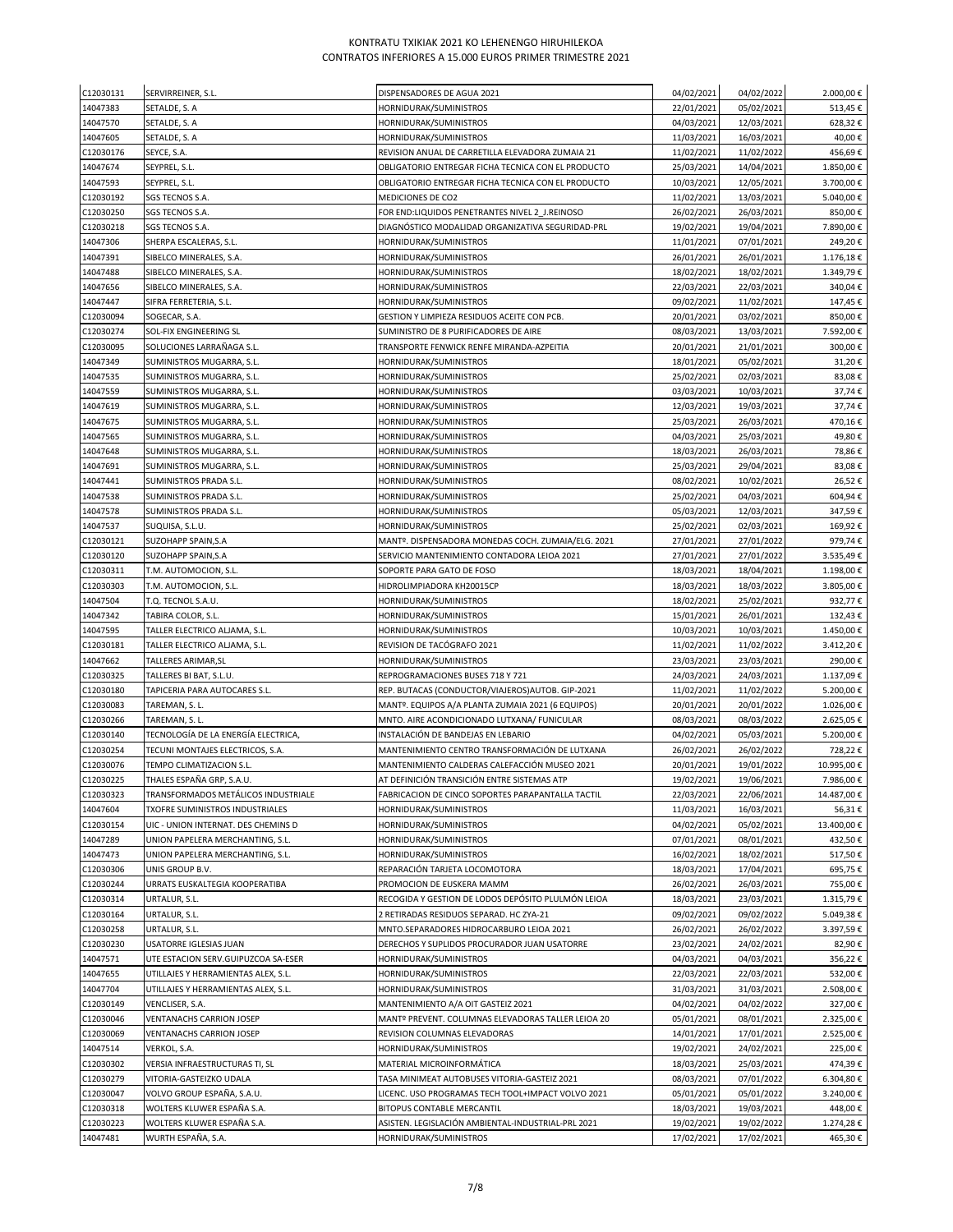| C12030131              | SERVIRREINER, S.L.                              | DISPENSADORES DE AGUA 2021                                                            | 04/02/2021               | 04/02/2022               | 2.000,00€              |
|------------------------|-------------------------------------------------|---------------------------------------------------------------------------------------|--------------------------|--------------------------|------------------------|
| 14047383               | SETALDE, S. A                                   | HORNIDURAK/SUMINISTROS                                                                | 22/01/2021               | 05/02/2021               | 513,45€                |
| 14047570               | SETALDE, S. A                                   | HORNIDURAK/SUMINISTROS                                                                | 04/03/2021               | 12/03/2021               | 628,32€                |
| 14047605               | SETALDE, S. A                                   | HORNIDURAK/SUMINISTROS                                                                | 11/03/2021               | 16/03/2021               | 40,00€                 |
| C12030176              | SEYCE, S.A.                                     | REVISION ANUAL DE CARRETILLA ELEVADORA ZUMAIA 21                                      | 11/02/2021               | 11/02/2022               | 456,69€                |
| 14047674               | SEYPREL, S.L.                                   | OBLIGATORIO ENTREGAR FICHA TECNICA CON EL PRODUCTO                                    | 25/03/2021               | 14/04/2021               | 1.850,00€              |
| 14047593               | SEYPREL, S.L.                                   | OBLIGATORIO ENTREGAR FICHA TECNICA CON EL PRODUCTO                                    | 10/03/2021               | 12/05/2021               | 3.700,00€              |
| C12030192              | SGS TECNOS S.A.                                 | MEDICIONES DE CO2                                                                     | 11/02/2021               | 13/03/2021               | 5.040,00€              |
| C12030250              | SGS TECNOS S.A.                                 | FOR END:LIQUIDOS PENETRANTES NIVEL 2 J.REINOSO                                        | 26/02/2021               | 26/03/2021               | 850,00€                |
| C12030218              | SGS TECNOS S.A.                                 | DIAGNÓSTICO MODALIDAD ORGANIZATIVA SEGURIDAD-PRL                                      | 19/02/2021               | 19/04/2021               | 7.890,00€              |
| 14047306               | SHERPA ESCALERAS, S.L.                          | HORNIDURAK/SUMINISTROS                                                                | 11/01/2021               | 07/01/2021               | 249,20€                |
| 14047391               | SIBELCO MINERALES, S.A.                         | HORNIDURAK/SUMINISTROS                                                                | 26/01/2021               | 26/01/2021               | 1.176,18€              |
| 14047488               | SIBELCO MINERALES, S.A.                         | HORNIDURAK/SUMINISTROS                                                                | 18/02/2021               | 18/02/2021               | 1.349,79€              |
| 14047656               | SIBELCO MINERALES, S.A.                         | HORNIDURAK/SUMINISTROS                                                                | 22/03/2021               | 22/03/2021               | 340,04€                |
| 14047447               | SIFRA FERRETERIA, S.L.                          | HORNIDURAK/SUMINISTROS                                                                | 09/02/2021               | 11/02/2021               | 147,45€                |
| C12030094              | SOGECAR, S.A.                                   | GESTION Y LIMPIEZA RESIDUOS ACEITE CON PCB.                                           | 20/01/2021               | 03/02/2021               | 850,00€                |
| C12030274              | SOL-FIX ENGINEERING SL                          | SUMINISTRO DE 8 PURIFICADORES DE AIRE                                                 | 08/03/2021               | 13/03/2021               | 7.592,00€              |
| C12030095              | SOLUCIONES LARRAÑAGA S.L.                       | TRANSPORTE FENWICK RENFE MIRANDA-AZPEITIA                                             | 20/01/2021               | 21/01/2021               | 300,00€                |
| 14047349               | SUMINISTROS MUGARRA, S.L.                       | HORNIDURAK/SUMINISTROS                                                                | 18/01/2021               | 05/02/2021               | 31,20€                 |
| 14047535               | SUMINISTROS MUGARRA, S.L.                       | HORNIDURAK/SUMINISTROS                                                                | 25/02/2021               | 02/03/2021               | 83,08€                 |
| 14047559               | SUMINISTROS MUGARRA, S.L.                       | HORNIDURAK/SUMINISTROS                                                                | 03/03/2021               | 10/03/2021               | 37,74€                 |
| 14047619               | SUMINISTROS MUGARRA, S.L.                       | HORNIDURAK/SUMINISTROS                                                                | 12/03/2021               | 19/03/2021               | 37,74€                 |
| 14047675               | SUMINISTROS MUGARRA, S.L.                       | HORNIDURAK/SUMINISTROS                                                                | 25/03/2021               | 26/03/2021               | 470,16€                |
| 14047565               | SUMINISTROS MUGARRA, S.L.                       | HORNIDURAK/SUMINISTROS                                                                | 04/03/2021               | 25/03/2021               | 49,80€                 |
| 14047648               | SUMINISTROS MUGARRA, S.L.                       | HORNIDURAK/SUMINISTROS                                                                | 18/03/2021               | 26/03/2021               | 78,86€                 |
| 14047691               | SUMINISTROS MUGARRA, S.L.                       | HORNIDURAK/SUMINISTROS                                                                | 25/03/2021               | 29/04/2021               | 83,08€                 |
| 14047441               | SUMINISTROS PRADA S.L.                          | HORNIDURAK/SUMINISTROS                                                                | 08/02/2021               | 10/02/2021               | 26,52€                 |
| 14047538               | SUMINISTROS PRADA S.L.                          | HORNIDURAK/SUMINISTROS                                                                | 25/02/2021               | 04/03/2021               | 604,94€                |
| 14047578               | SUMINISTROS PRADA S.L.                          | HORNIDURAK/SUMINISTROS                                                                | 05/03/2021               | 12/03/2021               | 347,59€                |
| 14047537               | SUQUISA, S.L.U.                                 | HORNIDURAK/SUMINISTROS                                                                | 25/02/2021               | 02/03/2021               | 169,92€                |
| C12030121              | SUZOHAPP SPAIN, S.A                             | MANTº. DISPENSADORA MONEDAS COCH. ZUMAIA/ELG. 2021                                    | 27/01/2021               | 27/01/2022               | 979,74€                |
| C12030120              | SUZOHAPP SPAIN, S.A                             | SERVICIO MANTENIMIENTO CONTADORA LEIOA 2021                                           | 27/01/2021               | 27/01/2022               | 3.535,49€              |
| C12030311              | T.M. AUTOMOCION, S.L.                           | SOPORTE PARA GATO DE FOSO                                                             | 18/03/2021               | 18/04/2021               | 1.198,00€              |
| C12030303              | T.M. AUTOMOCION, S.L.                           | HIDROLIMPIADORA KH20015CP                                                             | 18/03/2021               | 18/03/2022               | 3.805,00€              |
| 14047504               | T.Q. TECNOL S.A.U.                              | HORNIDURAK/SUMINISTROS                                                                | 18/02/2021               | 25/02/2021               | 932,77€                |
| 14047342               | TABIRA COLOR, S.L.                              | HORNIDURAK/SUMINISTROS                                                                | 15/01/2021               | 26/01/2021               | 132,43€                |
| 14047595               | TALLER ELECTRICO ALJAMA, S.L.                   | HORNIDURAK/SUMINISTROS                                                                | 10/03/2021               | 10/03/2021               | 1.450,00€              |
| C12030181              | TALLER ELECTRICO ALJAMA, S.L.                   | REVISION DE TACÓGRAFO 2021                                                            | 11/02/2021               | 11/02/2022               | 3.412,20€              |
| 14047662<br>C12030325  | TALLERES ARIMAR, SL                             | HORNIDURAK/SUMINISTROS                                                                | 23/03/2021<br>24/03/2021 | 23/03/2021               | 290,00€<br>1.137,09€   |
|                        | TALLERES BI BAT, S.L.U.                         | REPROGRAMACIONES BUSES 718 Y 721<br>REP. BUTACAS (CONDUCTOR/VIAJEROS) AUTOB. GIP-2021 |                          | 24/03/2021               |                        |
| C12030180<br>C12030083 | TAPICERIA PARA AUTOCARES S.L.<br>TAREMAN, S. L. | MANTº. EQUIPOS A/A PLANTA ZUMAIA 2021 (6 EQUIPOS)                                     | 11/02/2021<br>20/01/2021 | 11/02/2022<br>20/01/2022 | 5.200,00€<br>1.026,00€ |
| C12030266              | TAREMAN, S. L.                                  | MNTO. AIRE ACONDICIONADO LUTXANA/ FUNICULAR                                           | 08/03/2021               | 08/03/2022               | 2.625,05€              |
| C12030140              | TECNOLOGÍA DE LA ENERGÍA ELECTRICA,             | INSTALACIÓN DE BANDEJAS EN LEBARIO                                                    | 04/02/2021               | 05/03/2021               | 5.200,00€              |
| C12030254              | TECUNI MONTAJES ELECTRICOS, S.A.                | MANTENIMIENTO CENTRO TRANSFORMACIÓN DE LUTXANA                                        | 26/02/2021               | 26/02/2022               | 728,22€                |
| C12030076              | TEMPO CLIMATIZACION S.L.                        | MANTENIMIENTO CALDERAS CALEFACCIÓN MUSEO 2021                                         | 20/01/2021               | 19/01/2022               | 10.995,00€             |
| C12030225              | THALES ESPAÑA GRP, S.A.U.                       | AT DEFINICIÓN TRANSICIÓN ENTRE SISTEMAS ATP                                           | 19/02/2021               | 19/06/2021               | 7.986,00€              |
| C12030323              | TRANSFORMADOS METÁLICOS INDUSTRIALE             | FABRICACION DE CINCO SOPORTES PARAPANTALLA TACTIL                                     | 22/03/2021               | 22/06/2021               | 14.487,00 €            |
| 14047604               | TXOFRE SUMINISTROS INDUSTRIALES                 | HORNIDURAK/SUMINISTROS                                                                | 11/03/2021               | 16/03/2021               | 56,31€                 |
| C12030154              | UIC - UNION INTERNAT. DES CHEMINS D             | HORNIDURAK/SUMINISTROS                                                                | 04/02/2021               | 05/02/2021               | 13.400,00€             |
| 14047289               | UNION PAPELERA MERCHANTING, S.L.                | HORNIDURAK/SUMINISTROS                                                                | 07/01/2021               | 08/01/2021               | 432,50€                |
| 14047473               | UNION PAPELERA MERCHANTING, S.L.                | HORNIDURAK/SUMINISTROS                                                                | 16/02/2021               | 18/02/2021               | 517,50€                |
| C12030306              | UNIS GROUP B.V.                                 | REPARACIÓN TARJETA LOCOMOTORA                                                         | 18/03/2021               | 17/04/2021               | 695,75€                |
| C12030244              | URRATS EUSKALTEGIA KOOPERATIBA                  | PROMOCION DE EUSKERA MAMM                                                             | 26/02/2021               | 26/03/2021               | 755,00€                |
| C12030314              | URTALUR, S.L.                                   | RECOGIDA Y GESTION DE LODOS DEPÓSITO PLULMÓN LEIOA                                    | 18/03/2021               | 23/03/2021               | 1.315,79€              |
| C12030164              | URTALUR, S.L.                                   | 2 RETIRADAS RESIDUOS SEPARAD. HC ZYA-21                                               | 09/02/2021               | 09/02/2022               | 5.049,38€              |
| C12030258              | URTALUR, S.L.                                   | MNTO.SEPARADORES HIDROCARBURO LEIOA 2021                                              | 26/02/2021               | 26/02/2022               | 3.397,59€              |
| C12030230              | USATORRE IGLESIAS JUAN                          | DERECHOS Y SUPLIDOS PROCURADOR JUAN USATORRE                                          | 23/02/2021               | 24/02/2021               | 82,90€                 |
| 14047571               | UTE ESTACION SERV.GUIPUZCOA SA-ESER             | HORNIDURAK/SUMINISTROS                                                                | 04/03/2021               | 04/03/2021               | 356,22€                |
| 14047655               | UTILLAJES Y HERRAMIENTAS ALEX, S.L.             | HORNIDURAK/SUMINISTROS                                                                | 22/03/2021               | 22/03/2021               | 532,00€                |
| 14047704               | UTILLAJES Y HERRAMIENTAS ALEX, S.L.             | HORNIDURAK/SUMINISTROS                                                                | 31/03/2021               | 31/03/2021               | 2.508,00€              |
| C12030149              | VENCLISER, S.A.                                 | MANTENIMIENTO A/A OIT GASTEIZ 2021                                                    | 04/02/2021               | 04/02/2022               | 327,00€                |
| C12030046              | VENTANACHS CARRION JOSEP                        | MANT <sup>o</sup> PREVENT. COLUMNAS ELEVADORAS TALLER LEIOA 20                        | 05/01/2021               | 08/01/2021               | 2.325,00€              |
| C12030069              | <b>VENTANACHS CARRION JOSEP</b>                 | REVISION COLUMNAS ELEVADORAS                                                          | 14/01/2021               | 17/01/2021               | 2.525,00€              |
| 14047514               | VERKOL, S.A.                                    | HORNIDURAK/SUMINISTROS                                                                | 19/02/2021               | 24/02/2021               | 225,00€                |
| C12030302              | VERSIA INFRAESTRUCTURAS TI, SL                  | MATERIAL MICROINFORMÁTICA                                                             | 18/03/2021               | 25/03/2021               | 474,39€                |
| C12030279              | VITORIA-GASTEIZKO UDALA                         | TASA MINIMEAT AUTOBUSES VITORIA-GASTEIZ 2021                                          | 08/03/2021               | 07/01/2022               | 6.304,80€              |
| C12030047              | VOLVO GROUP ESPAÑA, S.A.U.                      | LICENC. USO PROGRAMAS TECH TOOL+IMPACT VOLVO 2021                                     | 05/01/2021               | 05/01/2022               | 3.240,00€              |
| C12030318              | WOLTERS KLUWER ESPAÑA S.A.                      | BITOPUS CONTABLE MERCANTIL                                                            | 18/03/2021               | 19/03/2021               | 448,00€                |
| C12030223              | WOLTERS KLUWER ESPAÑA S.A.                      | ASISTEN. LEGISLACIÓN AMBIENTAL-INDUSTRIAL-PRL 2021                                    | 19/02/2021               | 19/02/2022               | 1.274,28€              |
| 14047481               | WURTH ESPAÑA, S.A.                              | HORNIDURAK/SUMINISTROS                                                                | 17/02/2021               | 17/02/2021               | 465,30€                |